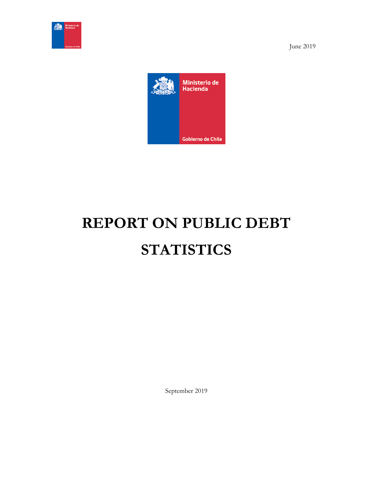

June 2019



# **REPORT ON PUBLIC DEBT STATISTICS**

September 2019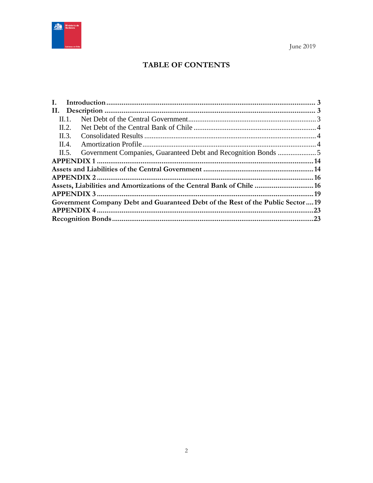

# **TABLE OF CONTENTS**

| Ι.    |                                                                                |  |
|-------|--------------------------------------------------------------------------------|--|
|       |                                                                                |  |
| Н. 1. |                                                                                |  |
| II.2. |                                                                                |  |
| II.3. |                                                                                |  |
| II.4. |                                                                                |  |
| II.5. |                                                                                |  |
|       |                                                                                |  |
|       |                                                                                |  |
|       |                                                                                |  |
|       | Assets, Liabilities and Amortizations of the Central Bank of Chile  16         |  |
|       |                                                                                |  |
|       | Government Company Debt and Guaranteed Debt of the Rest of the Public Sector19 |  |
|       |                                                                                |  |
|       |                                                                                |  |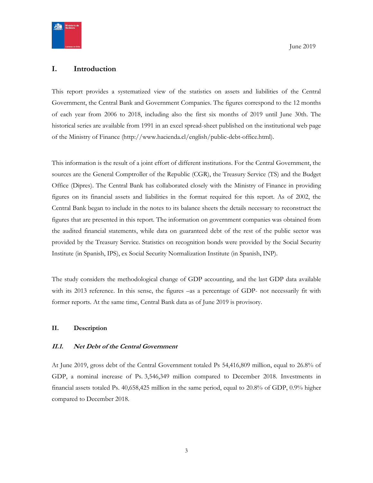

## <span id="page-2-0"></span>**I. Introduction**

This report provides a systematized view of the statistics on assets and liabilities of the Central Government, the Central Bank and Government Companies. The figures correspond to the 12 months of each year from 2006 to 2018, including also the first six months of 2019 until June 30th. The historical series are available from 1991 in an excel spread-sheet published on the institutional web page of the Ministry of Finance (http://www.hacienda.cl/english/public-debt-office.html).

This information is the result of a joint effort of different institutions. For the Central Government, the sources are the General Comptroller of the Republic (CGR), the Treasury Service (TS) and the Budget Office (Dipres). The Central Bank has collaborated closely with the Ministry of Finance in providing figures on its financial assets and liabilities in the format required for this report. As of 2002, the Central Bank began to include in the notes to its balance sheets the details necessary to reconstruct the figures that are presented in this report. The information on government companies was obtained from the audited financial statements, while data on guaranteed debt of the rest of the public sector was provided by the Treasury Service. Statistics on recognition bonds were provided by the Social Security Institute (in Spanish, IPS), ex Social Security Normalization Institute (in Spanish, INP).

The study considers the methodological change of GDP accounting, and the last GDP data available with its 2013 reference. In this sense, the figures –as a percentage of GDP- not necessarily fit with former reports. At the same time, Central Bank data as of June 2019 is provisory.

#### <span id="page-2-1"></span>**II. Description**

#### <span id="page-2-2"></span>**II.1. Net Debt of the Central Government**

At June 2019, gross debt of the Central Government totaled Ps 54,416,809 million, equal to 26.8% of GDP, a nominal increase of Ps. 3,546,349 million compared to December 2018. Investments in financial assets totaled Ps. 40,658,425 million in the same period, equal to 20.8% of GDP, 0.9% higher compared to December 2018.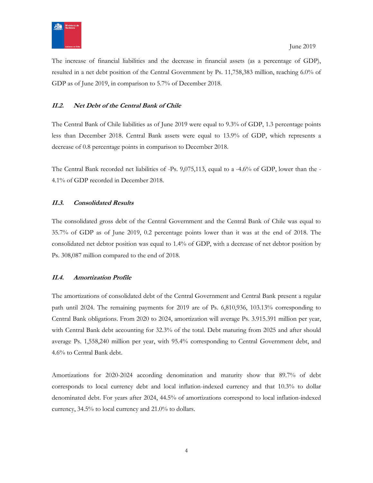

The increase of financial liabilities and the decrease in financial assets (as a percentage of GDP), resulted in a net debt position of the Central Government by Ps. 11,758,383 million, reaching 6.0% of GDP as of June 2019, in comparison to 5.7% of December 2018.

### <span id="page-3-0"></span>**II.2. Net Debt of the Central Bank of Chile**

The Central Bank of Chile liabilities as of June 2019 were equal to 9.3% of GDP, 1.3 percentage points less than December 2018. Central Bank assets were equal to 13.9% of GDP, which represents a decrease of 0.8 percentage points in comparison to December 2018.

The Central Bank recorded net liabilities of -Ps. 9,075,113, equal to a -4.6% of GDP, lower than the - 4.1% of GDP recorded in December 2018.

#### <span id="page-3-1"></span>**II.3. Consolidated Results**

The consolidated gross debt of the Central Government and the Central Bank of Chile was equal to 35.7% of GDP as of June 2019, 0.2 percentage points lower than it was at the end of 2018. The consolidated net debtor position was equal to 1.4% of GDP, with a decrease of net debtor position by Ps. 308,087 million compared to the end of 2018.

#### <span id="page-3-2"></span>**II.4. Amortization Profile**

The amortizations of consolidated debt of the Central Government and Central Bank present a regular path until 2024. The remaining payments for 2019 are of Ps. 6,810,936, 103.13% corresponding to Central Bank obligations. From 2020 to 2024, amortization will average Ps. 3.915.391 million per year, with Central Bank debt accounting for 32.3% of the total. Debt maturing from 2025 and after should average Ps. 1,558,240 million per year, with 95.4% corresponding to Central Government debt, and 4.6% to Central Bank debt.

Amortizations for 2020-2024 according denomination and maturity show that 89.7% of debt corresponds to local currency debt and local inflation-indexed currency and that 10.3% to dollar denominated debt. For years after 2024, 44.5% of amortizations correspond to local inflation-indexed currency, 34.5% to local currency and 21.0% to dollars.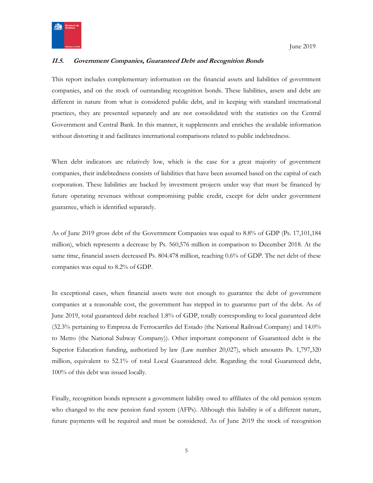

## <span id="page-4-0"></span>**II.5. Government Companies, Guaranteed Debt and Recognition Bonds**

This report includes complementary information on the financial assets and liabilities of government companies, and on the stock of outstanding recognition bonds. These liabilities, assets and debt are different in nature from what is considered public debt, and in keeping with standard international practices, they are presented separately and are not consolidated with the statistics on the Central Government and Central Bank. In this manner, it supplements and enriches the available information without distorting it and facilitates international comparisons related to public indebtedness.

When debt indicators are relatively low, which is the case for a great majority of government companies, their indebtedness consists of liabilities that have been assumed based on the capital of each corporation. These liabilities are backed by investment projects under way that must be financed by future operating revenues without compromising public credit, except for debt under government guarantee, which is identified separately.

As of June 2019 gross debt of the Government Companies was equal to 8.8% of GDP (Ps. 17,101,184 million), which represents a decrease by Ps. 560,576 million in comparison to December 2018. At the same time, financial assets decreased Ps. 804.478 million, reaching 0.6% of GDP. The net debt of these companies was equal to 8.2% of GDP.

In exceptional cases, when financial assets were not enough to guarantee the debt of government companies at a reasonable cost, the government has stepped in to guarantee part of the debt. As of June 2019, total guaranteed debt reached 1.8% of GDP, totally corresponding to local guaranteed debt (32.3% pertaining to Empresa de Ferrocarriles del Estado (the National Railroad Company) and 14.0% to Metro (the National Subway Company)). Other important component of Guaranteed debt is the Superior Education funding, authorized by law (Law number 20,027), which amounts Ps. 1,797,320 million, equivalent to 52.1% of total Local Guaranteed debt. Regarding the total Guaranteed debt, 100% of this debt was issued locally.

Finally, recognition bonds represent a government liability owed to affiliates of the old pension system who changed to the new pension fund system (AFPs). Although this liability is of a different nature, future payments will be required and must be considered. As of June 2019 the stock of recognition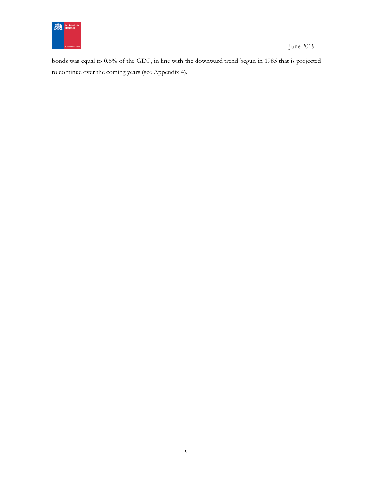

June 2019

bonds was equal to 0.6% of the GDP, in line with the downward trend begun in 1985 that is projected to continue over the coming years (see Appendix 4).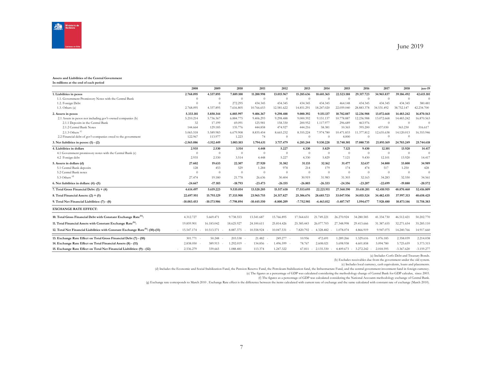

#### June 2019

#### **Assets and Liabilities of the Central Government**

**In millions at the end of each period**

|                                                                                            | 2008                    | 2009          | 2010         | 2011           | 2012           | 2013         | 2014         | 2015           | 2016       | 2017       | 2018           | jun-19       |
|--------------------------------------------------------------------------------------------|-------------------------|---------------|--------------|----------------|----------------|--------------|--------------|----------------|------------|------------|----------------|--------------|
| 1. Liabilities in pesos                                                                    | 2.768.095               | 4.337.895     | 7.889.100    | 11.200.998     | 13.015.967     | 15.285.636   | 18.681.365   | 22.523.188     | 29.317.723 | 34.965.837 | 39.186.492     | 42.615.181   |
| 1.1. Government Promissory Notes with the Central Bank                                     | $\Omega$                | $\theta$      | $\theta$     | $\overline{0}$ | $\overline{0}$ | $\theta$     | $\theta$     | $\overline{0}$ | $\theta$   | $\theta$   | $\theta$       | $\Omega$     |
| 1.2. Foreign Debt                                                                          | $\Omega$                | $\Omega$      | 272.295      | 434.345        | 434.345        | 434.345      | 434.345      | 464.148        | 434.345    | 434.345    | 434.345        | 380.481      |
| 1.3. Others $(a)$                                                                          | 2.768.095               | 4.337.895     | 7.616.805    | 10.766.653     | 12.581.622     | 14.851.291   | 18,247,020   | 22.059.040     | 28.883.378 | 34.531.492 | 38.752.147     | 42.234.700   |
| 2. Assets in pesos                                                                         | 5.333.181               | 5.850.344     | 6.885.997    | 9.406.367      | 9.298.488      | 9.000.392    | 9.151.137    | 10.782.887     | 12.236.988 | 13.072.668 | 14.483.242     | 16.870.563   |
| 2.1 Assets in pesos not including gov't-owned companies (b)                                | 5.210.214               | 5.736.367     | 6.884.775    | 9.406.293      | 9.298.488      | 9.000.392    | 9.151.137    | 10.778.887     | 12.236.988 | 13.072.668 | 14.483.242     | 16.870.563   |
| 2.1.1 Deposits in the Central Bank                                                         | 32                      | 17.199        | 69.091       | 125.981        | 158,330        | 200.952      | 1.117.977    | 296.689        | 463.976    | $\theta$   | $\theta$       | $\Omega$     |
| 2.1.2 Central Bank Notes                                                                   | 144.664                 | 129.185       | 135.776      | 444.858        | 474.927        | 444.216      | 58.381       | 10.365         | 395.200    | 437.030    | 363.230        | 516.617      |
| 2.1.3 Others $(c)$                                                                         | 5.065.518               | 5.589.983     | 6.679.908    | 8.835.454      | 8.665.232      | 8.355.224    | 7.974.780    | 10.471.833     | 11.377.812 | 12.635.638 | 14.120.013     | 16.353.946   |
| 2.2 Financial debt of gov't companies owed to the government                               | 122.967                 | 113,977       | 1.223        | 74             | $\overline{0}$ | $\theta$     | $\Omega$     | 4.000          | $\Omega$   | $\Omega$   | $\Omega$       |              |
| 3. Net liabilities in pesos: $(1) - (2)$                                                   | $-2.565.086$            | $-1.512.449$  | 1.003.103    | 1.794.631      | 3.717.479      | 6.285.244    | 9.530.228    | 11.740.301     | 17.080.735 | 21.893.169 | 24,703,249     | 25.744.618   |
| 4. Liabilities in dollars                                                                  | 2.935                   | 2.530         | 3.514        | 4.448          | 5.227          | 4.330        | 5.829        | 7.121          | 9.430      | 12.101     | 13.920         | 14.417       |
| 4.1 Government promissory notes with the Central Bank (c)                                  | $\Omega$                | $\theta$      | $\theta$     | $\overline{0}$ | $\theta$       | $\theta$     | $\theta$     | $\theta$       | $\theta$   | $\theta$   | $\theta$       | $\Omega$     |
| 4.2 Foreign debt                                                                           | 2.935                   | 2.530         | 3.514        | 4.448          | 5.227          | 4.330        | 5.829        | 7.121          | 9.430      | 12.101     | 13.920         | 14.417       |
| 5. Assets in dollars (d)                                                                   | 27.602                  | 19.633        | 22.307       | 27.920         | 31.382         | 31.133       | 32.162       | 31.477         | 32.637     | 34.800     | 33.800         | 34.989       |
| 5.1 Central Bank deposits                                                                  | 128                     | 453           | 529          | 1.284          | 978            | 214          | 179          | 174            | 474        | 517        | 1.250          | 428          |
| 5.2 Central Bank notes                                                                     | $\Omega$                | $\theta$      | $\theta$     | $\Omega$       | $\overline{0}$ | $\theta$     | $\theta$     | $\theta$       | $\theta$   | $\theta$   | $\overline{0}$ | $\Omega$     |
| 5.3 Others $(d)$                                                                           | 27.474                  | 19.180        | 21.778       | 26.636         | 30.404         | 30.919       | 31.983       | 31.303         | 32.163     | 34.283     | 32.550         | 34.561       |
| 6. Net liabilities in dollars: (4) -(5)                                                    | $-24.667$               | $-17.103$     | $-18.793$    | $-23.473$      | $-26.155$      | $-26.803$    | $-26.333$    | $-24.356$      | $-23.207$  | $-22.699$  | $-19.880$      | $-20.572$    |
| 7. Total Gross Financial Debt: $(1) + (4)$                                                 | 4.614.497               | 5.619.223     | 9.535.014    | 13.520.205     | 15.517.618     | 17.553.695   | 22.221.911   | 27.560.190     | 35.610.201 | 42.410.915 | 48.870.460     | 52.416.809   |
| 8. Total Financial Assets: $(2) + (5)$                                                     | 22.697.951              | 15.793.129    | 17.333.908   | 23.965.755     | 24.317.827     | 25.306.676   | 28.685.723   | 33.047.936     | 34.015.524 | 34.482.435 | 37.997.313     | 40.658.425   |
| 9. Total Net Financial Liabilities: (7) - (8)                                              | $-18.083.453$           | $-10.173.906$ | $-7.798.894$ | $-10.445.550$  | $-8.800.209$   | $-7.752.981$ | $-6.463.812$ | $-5.487.747$   | 1.594.677  | 7.928.480  | 10.873.146     | 11.758.383   |
| <b>EXCHANGE RATE EFFECT:</b>                                                               |                         |               |              |                |                |              |              |                |            |            |                |              |
| 10. Total Gross Financial Debt with Constant Exchange Rate <sup>(h)</sup> :                | 4.312.727               | 5.669.471     | 9.738.553    | 13.541.687     | 15.766.895     | 17.564.651   | 21.749.221   | 26.270.924     | 34.280.585 | 41.334.730 | 46.512.421     | 50.202.770   |
| 11. Total Financial Assets with Constant Exchange Rate <sup>(h)</sup> :                    | 19.859.901              | 16.183.042    | 18.625.927   | 24.100.611     | 25.814.426     | 25.385.443   | 26.077.703   | 27.348.998     | 29.413.666 | 31.387.655 | 32.271.654     | 35.285.110   |
| 12. Total Net Financial Liabilities with Constant Exchange Rate <sup>(h)</sup> : (10)-(11) | $-15.547.174$<br>$\sim$ | 10.513.571    | 8.887.375    | 10.558.924     | 10.047.531     | 7.820.792    | 4.328.482    | 1.078.074      | 4.866.919  | 9.947.075  | 14.240.766     | 14.917.660   |
| 13. Exchange Rate Effect on Total Gross Financial Debt (7) - (10)                          | $301.771 -$             | 50.248        | 203.538      | 21.482         | 249.277 -      | 10.956       | 472.691      | 1.289.266      | 1.329.616  | 1.076.185  | 2.358.039      | 2.214.038    |
| 14. Exchange Rate Effect on Total Financial Assets (8) - (11)                              | 2.838.050               | 389.913       | 1.292.019    | 134.856        | 1.496.599 -    | 78.767       | 2.608.021    | 5.698.938      | 4.601.858  | 3.094.780  | 5.725.659      | 5.373.315    |
| 15. Exchange Rate Effect on Total Net Financial Liabilities: (9) - (12)                    | 2.536.279               | 339.665       | 1.088.481    | 113.374        | 1.247.322      | 67.811       | 2.135.330    | 4.409.673      | 3.272.242  | 2.018.595  | $-3.367.620$   | $-3.159.277$ |

(a) Includes Corfo Debt and Treasury Bonds.

(b) Excludes receivables due from the government under the old system.

(c) Includes local currency, cash equivalents, loans and placements.

(d) Includes the Economic and Social Stabilization Fund, the Pension Reserve Fund, the Petroleum Stabilization fund, the Infrastructure Fund, and the central government investment fund in foreign currency.

(e) The figures as a percentage of GDP was calculated considering the methodology change of Central Bank for GDP calculus, since 2003.

(f) The figures as a percentage of GDP was calculated considering the National Accounts methodology exchange of Central Bank.

(g) Exchange rate corresponds to March 2010 . Exchange Rate effect is the difference between the items calculated with current rate of exchange and the same calculated with constant rate of exchange (March 2010).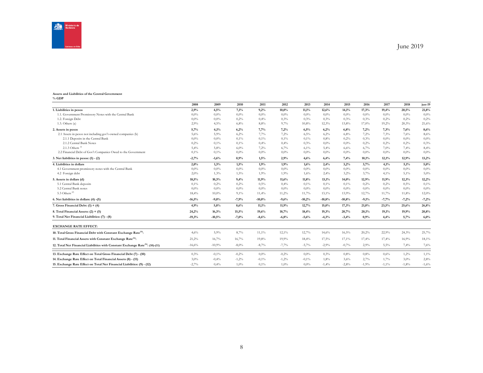

#### **Assets and Liabilities of the Central Government % GDP**

|                                                                                            | 2008     | 2009     | 2010    | 2011     | 2012    | 2013     | 2014     | 2015     | 2016    | 2017    | 2018    | jun-19  |
|--------------------------------------------------------------------------------------------|----------|----------|---------|----------|---------|----------|----------|----------|---------|---------|---------|---------|
| 1. Liabilities in pesos                                                                    | 2,9%     | 4,5%     | 7,1%    | 9,2%     | 10,0%   | 11,1%    | 12,6%    | 14,1%    | 17,3%   | 19,4%   | 20,5%   | 21,8%   |
| 1.1. Government Promissory Notes with the Central Bank                                     | 0,0%     | 0,0%     | $0.0\%$ | 0,0%     | 0.0%    | 0.0%     | $0.0\%$  | $0.0\%$  | $0.0\%$ | $0.0\%$ | $0.0\%$ | $0.0\%$ |
| 1.2. Foreign Debt                                                                          | 0,0%     | 0,0%     | 0,2%    | 0,4%     | 0,3%    | 0,3%     | 0,3%     | 0,3%     | 0,3%    | 0,2%    | 0,2%    | 0,2%    |
| 1.3. Others $(a)$                                                                          | 2.9%     | 4,5%     | 6,8%    | 8,8%     | 9.7%    | 10,8%    | 12,3%    | 13,8%    | 17.0%   | 19,2%   | 20,3%   | 21,6%   |
| 2. Assets in pesos                                                                         | 5,7%     | 6,1%     | 6,2%    | 7,7%     | 7,2%    | 6,5%     | 6,2%     | 6,8%     | 7.2%    | 7.3%    | 7,6%    | 8,6%    |
| 2.1 Assets in pesos not including gov't-owned companies (b)                                | 5,6%     | 5,9%     | 6,2%    | 7,7%     | 7,2%    | 6,5%     | 6,2%     | 6,8%     | 7,2%    | 7,3%    | 7,6%    | 8,6%    |
| 2.1.1 Deposits in the Central Bank                                                         | 0,0%     | 0,0%     | 0,1%    | 0,1%     | 0,1%    | 0,1%     | 0.8%     | 0,2%     | 0,3%    | $0.0\%$ | $0.0\%$ | 0.0%    |
| 2.1.2 Central Bank Notes                                                                   | 0,2%     | 0,1%     | 0,1%    | 0,4%     | 0,4%    | 0,3%     | $0.0\%$  | $0.0\%$  | 0,2%    | 0,2%    | 0,2%    | 0,3%    |
| 2.1.3 Others $(6)$                                                                         | 5,4%     | 5,8%     | 6,0%    | 7,2%     | 6,7%    | 6,1%     | 5,4%     | 6,6%     | 6,7%    | 7,0%    | 7,4%    | 8,4%    |
| 2.2 Financial Debt of Gov't Companies Owed to the Government                               | 0,1%     | 0,1%     | $0.0\%$ | $0.0\%$  | 0.0%    | 0.0%     | $0.0\%$  | $0.0\%$  | $0.0\%$ | $0.0\%$ | $0.0\%$ | $0.0\%$ |
| 3. Net liabilities in pesos: $(1) - (2)$                                                   | $-2,7%$  | $-1,6%$  | 0,9%    | 1,5%     | 2,9%    | 4,6%     | 6,4%     | 7,4%     | 10,1%   | 12,1%   | 12,9%   | 13,2%   |
| 4. Liabilities in dollars                                                                  | 2,0%     | 1,3%     | 1,5%    | 1,9%     | 1,9%    | 1,6%     | 2,4%     | 3,2%     | 3,7%    | 4,1%    | 5,1%    | 5,0%    |
| 4.1 Government promissory notes with the Central Bank                                      | 0,0%     | 0,0%     | $0.0\%$ | 0,0%     | 0.0%    | $0.0\%$  | $0.0\%$  | $0.0\%$  | $0.0\%$ | $0.0\%$ | $0.0\%$ | $0.0\%$ |
| 4.2 Foreign debt                                                                           | 2,0%     | 1,3%     | 1,5%    | 1,9%     | 1,9%    | 1,6%     | 2,4%     | 3,2%     | 3,7%    | 4,1%    | 5,1%    | 5,0%    |
| 5. Assets in dollars (d)                                                                   | 18,5%    | 10,3%    | 9,4%    | 11,9%    | 11,6%   | 11,8%    | 13,1%    | 14,0%    | 12,9%   | 11,9%   | 12,3%   | 12,2%   |
| 5.1 Central Bank deposits                                                                  | 0,1%     | 0,2%     | 0,2%    | 0,5%     | 0,4%    | 0,1%     | 0,1%     | 0,1%     | 0,2%    | 0,2%    | 0,5%    | 0,1%    |
| 5.2 Central Bank notes                                                                     | $0.0\%$  | 0.0%     | $0.0\%$ | $0.0\%$  | 0.0%    | 0.0%     | $0.0\%$  | $0.0\%$  | $0.0\%$ | $0.0\%$ | 0.0%    | $0.0\%$ |
| 5.3 Others <sup>(d)</sup>                                                                  | 18,4%    | 10,0%    | 9,1%    | 11,4%    | 11,2%   | 11,7%    | 13,1%    | 13,9%    | 12,7%   | 11,7%   | 11,8%   | 12,0%   |
| 6. Net liabilities in dollars: (4) -(5)                                                    | $-16,5%$ | $-9,0%$  | $-7,9%$ | $-10,0%$ | $-9,6%$ | $-10,2%$ | $-10,8%$ | $-10,8%$ | $-9,1%$ | $-7,7%$ | $-7,2%$ | $-7,2%$ |
| 7. Gross Financial Debt: $(1) + (4)$                                                       | 4,9%     | 5,8%     | 8,6%    | 11,1%    | 11,9%   | 12,7%    | 15,0%    | 17,3%    | 21,0%   | 23,5%   | 25,6%   | 26,8%   |
| 8. Total Financial Assets: $(2) + (5)$                                                     | 24,2%    | 16,3%    | 15,5%   | 19,6%    | 18,7%   | 18,4%    | 19,3%    | 20,7%    | 20,1%   | 19,1%   | 19,9%   | 20,8%   |
| 9. Total Net Financial Liabilities: (7) - (8)                                              | $-19,3%$ | $-10,5%$ | $-7,0%$ | $-8,6%$  | $-6,8%$ | $-5,6%$  | $-4,3%$  | $-3,4%$  | 0,9%    | 4,4%    | 5,7%    | 6,0%    |
| <b>EXCHANGE RATE EFFECT:</b>                                                               |          |          |         |          |         |          |          |          |         |         |         |         |
| 10. Total Gross Financial Debt with Constant Exchange Rate <sup>(h)</sup> :                | 4,6%     | 5,9%     | 8,7%    | 11,1%    | 12,1%   | 12,7%    | 14,6%    | 16,5%    | 20,2%   | 22,9%   | 24,3%   | 25,7%   |
| 11. Total Financial Assets with Constant Exchange Rate <sup>(h)</sup> :                    | 21,2%    | 16,7%    | 16,7%   | 19,8%    | 19,9%   | 18,4%    | 17,5%    | 17,1%    | 17,4%   | 17,4%   | 16,9%   | 18,1%   |
| 12. Total Net Financial Liabilities with Constant Exchange Rate <sup>(h)</sup> : (10)-(11) | $-16,6%$ | $-10,9%$ | $-8,0%$ | $-8,7%$  | $-7,7%$ | $-5,7%$  | $-2,9%$  | $-0,7%$  | 2,9%    | 5,5%    | 7,4%    | 7,6%    |
| 13. Exchange Rate Effect on Total Gross Financial Debt (7) - (10)                          | 0.3%     | $-0.1\%$ | $-0,2%$ | 0,0%     | $-0,2%$ | 0.0%     | 0,3%     | 0.8%     | 0.8%    | 0,6%    | 1,2%    | 1,1%    |
| 14. Exchange Rate Effect on Total Financial Assets (8) - (11)                              | 3,0%     | $-0,4%$  | $-1,2%$ | $-0.1\%$ | $-1,2%$ | $-0.1%$  | 1,8%     | 3,6%     | 2,7%    | 1,7%    | 3,0%    | 2,8%    |
| 15. Exchange Rate Effect on Total Net Financial Liabilities: (9) - (12)                    | $-2,7%$  | 0.4%     | 1,0%    | 0.1%     | 1.0%    | 0.0%     | $-1,4%$  | $-2,8%$  | $-1,9%$ | $-1.1%$ | $-1.8%$ | $-1,6%$ |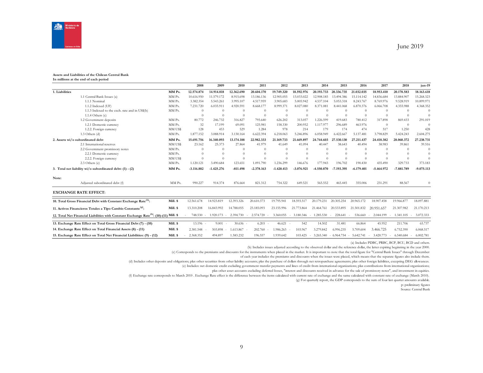

#### **Assets and Liabilities of the Chilean Central Bank In millions at the end of each period**

|                |                                                                                                     |          | 2008         | 2009              | 2010       | 2011         | 2012         | 2013         | 2014                | 2015         | 2016         | 2017                | 2018       | jun-19       |
|----------------|-----------------------------------------------------------------------------------------------------|----------|--------------|-------------------|------------|--------------|--------------|--------------|---------------------|--------------|--------------|---------------------|------------|--------------|
| 1. Liabilities |                                                                                                     | MM Ps.   | 12.574.874   | 14.914.818        | 12.362.690 | 20,604.170   | 19.749.320   | 18.592.976   | 20.193.733          | 20.336.735   | 21.032.035   | 18.953.410          | 20.178.583 | 18.163.618   |
|                | 1.1 Central Bank Issues (a)                                                                         | MM Ps.   | 10.616.950   | 11.579.172        | 8.915.698  | 13.186.136   | 12.905.055   | 13.033.022   | 12.908.185          | 13.494.386   | 15.114.142   | 14.836.684          | 13.884.907 | 15.268.323   |
|                | 1.1.1 Nominal                                                                                       | MM Ps.   | 3.382.354    | 5.543.261         | 3.995.107  | 4.517.959    | 3.905.683    | 5.005.942    | 4.537.104           | 5.053.318    | 8.243.767    | 8.769.976           | 9.528.919  | 10.899.971   |
|                | 1.1.2 Indexed (UF)                                                                                  | MM Ps.   | 7.231.720    | 6.035.911         | 4.920.591  | 8.668.177    | 8.999.371    | 8.027.080    | 8.371.081           | 8.441.068    | 6.870.376    | 6.066.708           | 4.355.988  | 4.368.352    |
|                | 1.1.3 Indexed to the exch. rate and in US\$(b)                                                      | MM Ps.   | $\Omega$     | $\Omega$          | $\Omega$   | $\Omega$     | $\Omega$     | $\Omega$     | $\Omega$            | $\Omega$     | $\Omega$     | $\Omega$            | $\Omega$   | $\theta$     |
|                | $1.1.4$ Others $(c)$                                                                                |          | $\Omega$     | $\Omega$          | $\theta$   |              | $\theta$     | $\Omega$     | $\Omega$            | $\Omega$     | $\Omega$     |                     | $\Omega$   | $\Omega$     |
|                | 1.2 Government deposits                                                                             | MM Ps.   | 80.772       | 246.732           | 316.827    | 795.640      | 626.202      | 313.057      | 1.226.599           | 419.683      | 780.412      | 317,898             | 869.433    | 291.019      |
|                | 1.2.1 Domestic currency                                                                             | MM Ps.   | 32           | 17.199            | 69,091     | 125.981      | 158.330      | 200.952      | 1.117.977           | 296.689      | 463.976      | $\Omega$            | $\theta$   | $\sqrt{ }$   |
|                | 1.2.2. Foreign currency                                                                             | MM US\$  | 128          | 453               | 529        | 1.284        | 978          | 214          | 179                 | 174          | 474          | 517                 | 1.250      | 428          |
|                | $1.3$ Others (d)                                                                                    | MM Ps.   | 1.877.152    | 3.088.914         | 3.130.164  | 6.622.394    | 6.218.063    | 5.246.896    | 6.058.949           | 6.422.667    | 5.137.481    | 3.798.829           | 5.424.243  | 2.604.275    |
|                | 2. Assets wi/o subordinated debt                                                                    | MM Ps.   | 15.691.756   | 16.340.093        | 13.174.188 | 22.982.333   | 21.169.733   | 21.669.897   | 24.744.603          | 27.530.130   | 27.211.437   | 24.418.382          | 28.060.372 | 27.238.731   |
|                | 2.1 International reserves                                                                          | MM US\$  | 23.162       | 25.373            | 27.864     | 41.979       | 41.649       | 41.094       | 40.447              | 38.643       | 40.494       | 38.983              | 39.861     | 39.516       |
|                | 2.2 Government promissory notes                                                                     | MM Ps.   | $\Omega$     | $\Omega$          | $\Omega$   |              | $\theta$     | $\theta$     | $\theta$            | $\Omega$     | $\Omega$     | $\Omega$            | $\Omega$   | $\theta$     |
|                | 2.2.1 Domestic currency                                                                             | MM Ps.   | $\Omega$     | $\Omega$          | $\Omega$   |              | $\Omega$     | $\Omega$     | $\Omega$            | $\Omega$     | $\Omega$     | $\Omega$            |            | $\sqrt{ }$   |
|                | 2.2.2. Foreign currency                                                                             | MM US\$  | $\Omega$     |                   | $\Omega$   |              | $\Omega$     | $\Omega$     | $\Omega$            | $\Omega$     | $\Omega$     |                     | $\Omega$   | $\Omega$     |
|                | 2.3 Others (e)                                                                                      | MM Ps.   | 1.120.121    | 3.490.684         | 123.651    | 1.091.790    | 1.236.299    | 146.676      | 177.943             | 196.702      | 190.430      | 435.490             | 329.733    | 373.183      |
|                | 3. Total net liability wi/o subordinated debt: (1) - (2)                                            | MM Ps.   | $-3.116.882$ | $-1.425.276$      | $-811.498$ | $-2.378.163$ | $-1.420.413$ | $-3.076.921$ | -4.550.870          | -7.193.395   | $-6.179.401$ | $-5.464.972$        | -7.881.789 | $-9.075.113$ |
| Note:          |                                                                                                     |          |              |                   |            |              |              |              |                     |              |              |                     |            |              |
|                | Adjusted subordinated debt (f)                                                                      | MM Ps.   | 990.227      | 914.374           | 876.664    | 821.312      | 754.322      | 649.521      | 565.552             | 465.445      | 355,006      | 231.291             | 88.567     | $\theta$     |
|                | <b>EXCHANGE RATE EFFECT:</b>                                                                        |          |              |                   |            |              |              |              |                     |              |              |                     |            |              |
|                | 10. Total Gross Financial Debt with Constant Exchange Rate <sup>(h)</sup> :                         | Mill. \$ | 12.561.678   | 14.923.819        | 12.393.326 | 20.610.373   | 19.795.941   | 18.593.517   | 20.179.231          | 20.305.254   | 20.965.172   | 18.907.458          | 19.966.877 | 18,097,881   |
|                | 11. Activos Financieros Totales a Tipo Cambio Constante <sup>(g)</sup> :                            | Mill. \$ | 13.310.208   | 16.843.992        | 14.788.055 | 23.185.093   | 23.155.996   | 21.773.864   | 21.464.761          | 20.533.895   | 21.501.832   | 20.951.657          | 21.307.982 | 21.170.213   |
|                | 12. Total Net Financial Liabilities with Constant Exchange Rate <sup>(h)</sup> : (10)-(11) Mill. \$ |          | 748.530      | 1.920.173         | 2.394.730  | 2.574.720    | 3.360.055    | $-3.180.346$ | 1.285.530<br>$\sim$ | 228.641      | 536.660      | 2.044.199           | 1.341.105  | 3.072.333    |
|                | 13. Exchange Rate Effect on Total Gross Financial Debt (7) - (10)                                   | Mill. \$ | 13.196 -     | 9.001             | 30.636     | 6.203        | 46.621       | 542          | 14.502              | 31.481       | 66.864       | 45.952              | 211.706    | 65.737       |
|                | 14. Exchange Rate Effect on Total Financial Assets (8) - (11)                                       | Mill. \$ | 2.381.548    | 503.898<br>$\sim$ | 1.613.867  | 202.760      | 1.986.263    | 103.967      | 3.279.842           | 6.996.235    | 5.709.604    | 3.466.725           | 6.752.390  | 6.068.517    |
|                | 15. Exchange Rate Effect on Total Net Financial Liabilities: (9) - (12)                             | Mill. \$ | 2.368.352    | 494.897           | 1.583.232  | 196.557      | 1.939.642    | 103.425      | 3.265.340<br>$\sim$ | $-6.964.754$ | $-5.642.741$ | 3.420.773<br>$\sim$ | 6.540.684  | 6.002.781    |

(a) Includes PDBC, PRBC, BCP, BCU, BCD and others.

(b) Includes issues adjusted according to the observed dollar and the reference dollar, the latter expiring beginning in the year 2000.

(c) Corresponds to the premiums and discounts for the instruments when placed in the market. It is important to note that the total figure for "Central Bank Issues" through December

of each year includes the premiums and discounts when the issues were placed, which means that the separate figures also include them.

(d) Includes other deposits and obligations; plus other securities from other liability accounts; plas the purchase of dollars through net retropurchase agreements; plus other foreign liabilities, excepting DEG allowances.

(e) Includes: net domestic credit excluding government transfer payments and lines of credit from international organizations; plus contributions from international organizations;

plus other asset accounts excluding deferred losses, "interest and discounts received in advance for the sale of promissory notes", and investment in equities.

(f) Exchange rate corresponds to March 2010 . Exchange Rate effect is the difference between the items calculated with current rate of exchange and the same calculated with constant rate of exchange (March 2010).

(g) For quarterly report, the GDP corresponds to the sum of four last quarter amounts available.

p: preliminary figures

Source: Central Bank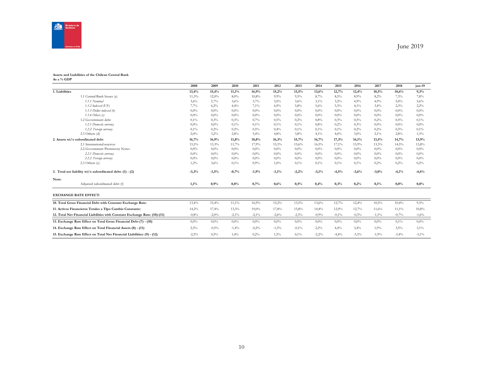

#### **Assets and Liabilities of the Chilean Central Bank As a % GDP**

|                                                                            | 2008    | 2009     | 2010     | 2011     | 2012    | 2013    | 2014    | 2015    | 2016     | 2017     | 2018    | jun-19   |
|----------------------------------------------------------------------------|---------|----------|----------|----------|---------|---------|---------|---------|----------|----------|---------|----------|
| 1. Liabilities                                                             | 13,4%   | 15,4%    | 11,1%    | 16,9%    | 15,2%   | 13,5%   | 13,6%   | 12,7%   | 12,4%    | 10,5%    | 10,6%   | 9,3%     |
| 1.1 Central Bank Issues (a)                                                | 11,3%   | 12,0%    | 8,0%     | 10,8%    | 9.9%    | 9,5%    | 8,7%    | 8,5%    | 8,9%     | 8,2%     | 7,3%    | 7,8%     |
| 1.1.1 Nominal                                                              | 3,6%    | 5,7%     | 3,6%     | 3,7%     | 3,0%    | 3,6%    | 3,1%    | 3,2%    | 4,9%     | 4,9%     | 5,0%    | 5,6%     |
| $1.1.2$ Indexed (UF)                                                       | 7,7%    | 6,2%     | 4,4%     | 7,1%     | 6,9%    | 5,8%    | 5,6%    | 5,3%    | 4,1%     | 3,4%     | 2,3%    | 2,2%     |
| 1.1.3 Dollar indexed (b)                                                   | 0,0%    | 0,0%     | 0,0%     | $0.0\%$  | $0,0\%$ | $0.0\%$ | $0.0\%$ | $0.0\%$ | 0,0%     | 0,0%     | $0.0\%$ | $0.0\%$  |
| $1.1.4$ Others (c)                                                         | $0.0\%$ | 0,0%     | 0.0%     | $0.0\%$  | $0.0\%$ | $0.0\%$ | $0.0\%$ | $0.0\%$ | 0,0%     | 0.0%     | $0.0\%$ | $0.0\%$  |
| 1.2 Government debt                                                        | 0,1%    | 0,3%     | 0,3%     | 0,7%     | 0,5%    | 0,2%    | 0.8%    | 0.3%    | 0,5%     | 0,2%     | 0,5%    | 0,1%     |
| 1.2.1 Domestic currency                                                    | 0,0%    | $0,0\%$  | 0,1%     | 0,1%     | 0,1%    | $0.1\%$ | 0.8%    | 0,2%    | 0,3%     | 0.0%     | $0,0\%$ | 0.0%     |
| 1.2.2. Foreign currency                                                    | 0,1%    | 0,2%     | 0,2%     | 0,5%     | 0,4%    | 0,1%    | 0,1%    | 0,1%    | 0,2%     | 0,2%     | 0,5%    | 0,1%     |
| 2.3 Others (d)                                                             | 2,0%    | 3,2%     | 2,8%     | 5,4%     | 4,8%    | 3,8%    | 4,1%    | 4.0%    | 3,0%     | 2,1%     | 2,8%    | 1,3%     |
| 2. Assets wi/o subordinated debt                                           | 16,7%   | 16,9%    | 11,8%    | 18,8%    | 16,3%   | 15,7%   | 16,7%   | 17,3%   | 16,1%    | 13,5%    | 14,7%   | 13,9%    |
| 2.1 International reserves                                                 | 15,5%   | 13,3%    | 11,7%    | 17,9%    | 15,3%   | 15,6%   | 16,5%   | 17,1%   | 15,9%    | 13,3%    | 14,5%   | 13,8%    |
| 2.2 Government Promissory Notes                                            | 0,0%    | $0,0\%$  | $0.0\%$  | $0.0\%$  | $0.0\%$ | $0.0\%$ | $0.0\%$ | $0.0\%$ | $0.0\%$  | 0.0%     | $0.0\%$ | 0,0%     |
| 2.2.1 Domestic currency                                                    | 0.0%    | $0,0\%$  | 0.0%     | $0.0\%$  | $0,0\%$ | $0.0\%$ | $0.0\%$ | $0.0\%$ | 0,0%     | 0,0%     | $0.0\%$ | $0,0\%$  |
| 2.2.2. Foreign currency                                                    | 0,0%    | 0,0%     | 0,0%     | $0.0\%$  | $0.0\%$ | $0.0\%$ | $0.0\%$ | $0.0\%$ | 0,0%     | 0,0%     | $0.0\%$ | 0,0%     |
| 2.3 Others (e)                                                             | 1,2%    | 3,6%     | 0,1%     | 0,9%     | $1,0\%$ | 0,1%    | 0,1%    | 0,1%    | 0,1%     | 0,2%     | 0,2%    | 0,2%     |
| 3. Total net liability wi/o subordinated debt: (1) - (2)                   | $-3,3%$ | $-1,5%$  | $-0,7%$  | $-1,9%$  | $-1,1%$ | $-2,2%$ | $-3,1%$ | $-4,5%$ | $-3,6%$  | $-3,0%$  | $-4,1%$ | $-4,6%$  |
| Note:                                                                      |         |          |          |          |         |         |         |         |          |          |         |          |
| Adjusted subordinated debt (f)                                             | 1,1%    | 0,9%     | 0.8%     | 0,7%     | 0,6%    | 0,5%    | 0,4%    | 0,3%    | 0,2%     | 0,1%     | 0,0%    | $0.0\%$  |
| <b>EXCHANGE RATE EFFECT:</b>                                               |         |          |          |          |         |         |         |         |          |          |         |          |
| 10. Total Gross Financial Debt with Constant Exchange Rate:                | 13,4%   | 15,4%    | $11,1\%$ | 16,9%    | 15,2%   | 13,5%   | 13,6%   | 12,7%   | 12,4%    | 10,5%    | 10,4%   | 9,3%     |
| 11. Activos Financieros Totales a Tipo Cambio Constante:                   | 14,2%   | 17,4%    | 13,3%    | 19,0%    | 17,8%   | 15,8%   | 14,4%   | 12,9%   | 12,7%    | 11,6%    | 11,1%   | 10,8%    |
| 12. Total Net Financial Liabilities with Constant Exchange Rate: (10)-(11) | $-0,8%$ | $-2,0\%$ | $-2,1\%$ | $-2,1\%$ | $-2,6%$ | $-2,3%$ | $-0,9%$ | $-0,1%$ | $-0,3%$  | $-1,1\%$ | $-0,7%$ | $-1,6%$  |
| 13. Exchange Rate Effect on Total Gross Financial Debt (7) - (10)          | $0.0\%$ | 0,0%     | 0,0%     | $0.0\%$  | $0,0\%$ | $0.0\%$ | $0.0\%$ | $0.0\%$ | 0,0%     | $0.0\%$  | 0,1%    | 0,0%     |
| 14. Exchange Rate Effect on Total Financial Assets (8) - (11)              | 2,5%    | $-0,5%$  | $-1,4%$  | $-0,2%$  | $-1,5%$ | $-0.1%$ | 2,2%    | 4,4%    | 3,4%     | 1,9%     | 3,5%    | 3,1%     |
| 15. Exchange Rate Effect on Total Net Financial Liabilities: (9) - (12)    | $-2,5%$ | 0,5%     | 1,4%     | 0,2%     | 1,5%    | 0,1%    | $-2,2%$ | $-4,4%$ | $-3,3\%$ | $-1,9%$  | $-3,4%$ | $-3.1\%$ |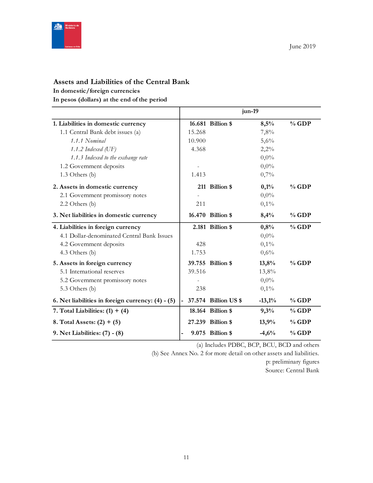

# **Assets and Liabilities of the Central Bank**

### **In domestic/foreign currencies**

**In pesos (dollars) at the end of the period**

|                                                     |        |                      | jun-19   |         |
|-----------------------------------------------------|--------|----------------------|----------|---------|
| 1. Liabilities in domestic currency                 |        | 16.681 Billion \$    | 8,5%     | $%$ GDP |
| 1.1 Central Bank debt issues (a)                    | 15.268 |                      | 7,8%     |         |
| 1.1.1 Nominal                                       | 10.900 |                      | 5,6%     |         |
| 1.1.2 Indexed $(\mathrm{UF})$                       | 4.368  |                      | 2,2%     |         |
| 1.1.3 Indexed to the exchange rate                  |        |                      | $0,0\%$  |         |
| 1.2 Government deposits                             |        |                      | $0,0\%$  |         |
| 1.3 Others (b)                                      | 1.413  |                      | 0,7%     |         |
| 2. Assets in domestic currency                      |        | 211 Billion \$       | 0,1%     | $%$ GDP |
| 2.1 Government promissory notes                     |        |                      | $0,0\%$  |         |
| 2.2 Others (b)                                      | 211    |                      | 0,1%     |         |
| 3. Net liabilities in domestic currency             |        | 16.470 Billion \$    | 8,4%     | $%$ GDP |
| 4. Liabilities in foreign currency                  |        | 2.181 Billion \$     | 0,8%     | $%$ GDP |
| 4.1 Dollar-denominated Central Bank Issues          |        |                      | $0,0\%$  |         |
| 4.2 Government deposits                             | 428    |                      | $0,1\%$  |         |
| 4.3 Others (b)                                      | 1.753  |                      | 0,6%     |         |
| 5. Assets in foreign currency                       |        | 39.755 Billion \$    | 13,8%    | $%$ GDP |
| 5.1 International reserves                          | 39.516 |                      | 13,8%    |         |
| 5.2 Government promissory notes                     |        |                      | $0,0\%$  |         |
| 5.3 Others (b)                                      | 238    |                      | 0,1%     |         |
| 6. Net liabilities in foreign currency: $(4) - (5)$ |        | 37.574 Billion US \$ | $-13,1%$ | $%$ GDP |
| 7. Total Liabilities: $(1) + (4)$                   |        | 18.164 Billion \$    | 9,3%     | $%$ GDP |
| 8. Total Assets: $(2) + (5)$                        |        | 27.239 Billion \$    | 13,9%    | $%$ GDP |
| 9. Net Liabilities: (7) - (8)                       |        | 9.075 Billion \$     | $-4,6%$  | $%$ GDP |

(a) Includes PDBC, BCP, BCU, BCD and others

(b) See Annex No. 2 for more detail on other assets and liabilities.

p: preliminary figures Source: Central Bank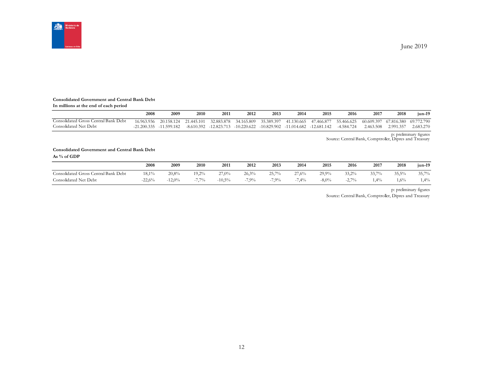

#### **Consolidated Government and Central Bank Debt**

|  |  | In millions at the end of each period |  |  |  |
|--|--|---------------------------------------|--|--|--|
|--|--|---------------------------------------|--|--|--|

|                                      | 2008                | 2009        | 2010         | 2011          | 2012          | 2013        | 2014          | 2015          | 2016         | 201        | 2018       | iun-19     |
|--------------------------------------|---------------------|-------------|--------------|---------------|---------------|-------------|---------------|---------------|--------------|------------|------------|------------|
| Consolidated Gross Central Bank Debt | $^{\circ}6.963.936$ | 20.158.124  | 21.445.101   | 32.883.878    | 34.165.809    | 35.389.397  | 41.130.665    | 47.466.877    | 55.466.625   | 60.609.397 | 67.816.380 | 69.772.790 |
| Consolidated Net Debt                | $-21,200,335$       | -11.599.182 | $-8.610.392$ | $-12.823.713$ | $-10.220.622$ | -10.829.902 | $-11.014.682$ | $-12.681.142$ | $-4.584.724$ | 2.463.508  | 2.991.357  | 2.683.270  |

p: preliminary figures Source: Central Bank, Comptroller, Dipres and Treasury

#### **Consolidated Government and Central Bank Debt As % of GDP**

|                                           | 2008     | 2009  | 2010   | 2011     | 2012    | 2013    | 2014  | 2015     | 2016          | 2017  | 2018   | $jun-19$ |
|-------------------------------------------|----------|-------|--------|----------|---------|---------|-------|----------|---------------|-------|--------|----------|
| Central Bank Debt<br>Consolidated Gross ( | 18,1%    | 20,8% | 19,2%  | 27,0%    | 26.3%   | 25,7%   | 27,6% | 29,9%    | 33,2%         | 33,7% | 35,5%  | 35,7%    |
| Consolidated Net Debt                     | $-22,6%$ | 12,0% | 7.70/2 | $-10,5%$ | $7.9\%$ | $7.9\%$ | 7,4%  | $-8,0\%$ | 2.70%<br>-4.1 | 1,4%  | $.6\%$ | 1,4%     |

p: preliminary figures

Source: Central Bank, Comptroller, Dipres and Treasury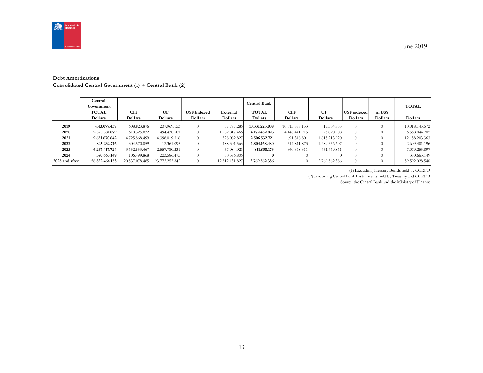

June 2019

#### **Debt Amortizations**

**Consolidated Central Government (1) + Central Bank (2)**

|                | Central<br>Government<br><b>TOTAL</b><br>Dollars | Ch\$<br>Dollars               | UF<br>Dollars               | <b>US\$ Indexed</b><br>Dollars | External<br>Dollars         | Central Bank<br><b>TOTAL</b><br>Dollars | Ch\$<br>Dollars                 | UF<br>Dollars                  | US\$ indexed<br>Dollars | in US\$<br>Dollars | <b>TOTAL</b><br>Dollars         |
|----------------|--------------------------------------------------|-------------------------------|-----------------------------|--------------------------------|-----------------------------|-----------------------------------------|---------------------------------|--------------------------------|-------------------------|--------------------|---------------------------------|
| 2019<br>2020   | $-313.077.437$<br>2.395.581.879                  | $-608.823.876$<br>618.325.832 | 237.969.153<br>494.438.581  | $\Omega$<br>$\Omega$           | 57.777.286<br>1.282.817.466 | 10.331.223.008<br>4.172.462.823         | 10.313.888.153<br>4.146.441.915 | 17.334.855<br>26.020.908       | $\Omega$<br>$\theta$    |                    | 10.018.145.572<br>6.568.044.702 |
| 2021<br>2022   | 9.651.670.642<br>805.232.716                     | 4.725.568.499<br>304.570.059  | 4.398.019.316<br>12.361.095 | $\Omega$<br>$\Omega$           | 528.082.827<br>488.301.563  | 2.506.532.721<br>1.804.168.480          | 691.318.801<br>514.811.873      | 1.815.213.920<br>1.289.356.607 | $\Omega$<br>$\Omega$    |                    | 12.158.203.363<br>2.609.401.196 |
| 2023           | 6.267.417.724                                    | 3.652.553.467                 | 2.557.780.231               | $\Omega$                       | 57.084.026                  | 811.838.173                             | 360.368.311                     | 451.469.861                    | $\Omega$                |                    | 7.079.255.897                   |
| 2024           | 380.663.149                                      | 106.499.868                   | 223.586.475                 | $\Omega$                       | 50.576.806                  | $\bf{0}$                                | $\Omega$                        |                                | $\Omega$                |                    | 380.663.149                     |
| 2025 and after | 56.822.466.153                                   | 20.537.078.485                | 23.773.255.842              | $\Omega$                       | 12.512.131.827              | 2.769.562.386                           | $\theta$                        | 2.769.562.386                  | $\Omega$                |                    | 59.592.028.540                  |

(1) Excluding Treasury Bonds held by CORFO

(2) Excluding Central Bank Instruments held by Treasury and CORFO

Source: the Central Bank and the Ministry of Finance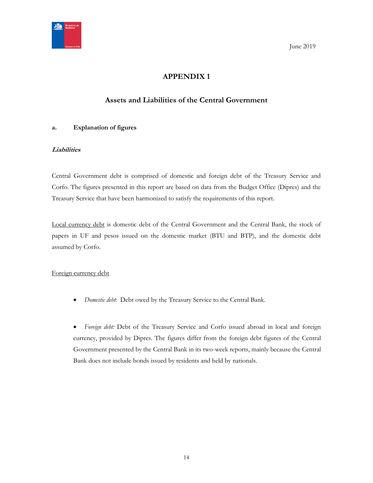

<span id="page-13-0"></span>**Solution** 3 June 2019

# **APPENDIX 1**

# **Assets and Liabilities of the Central Government**

## <span id="page-13-1"></span>**a. Explanation of figures**

## **Liabilities**

Central Government debt is comprised of domestic and foreign debt of the Treasury Service and Corfo. The figures presented in this report are based on data from the Budget Office (Dipres) and the Treasury Service that have been harmonized to satisfy the requirements of this report.

Local currency debt is domestic debt of the Central Government and the Central Bank, the stock of papers in UF and pesos issued on the domestic market (BTU and BTP), and the domestic debt assumed by Corfo.

## Foreign currency debt

*Domestic debt*: Debt owed by the Treasury Service to the Central Bank.

 *Foreign debt:* Debt of the Treasury Service and Corfo issued abroad in local and foreign currency, provided by Dipres. The figures differ from the foreign debt figures of the Central Government presented by the Central Bank in its two-week reports, mainly because the Central Bank does not include bonds issued by residents and held by nationals.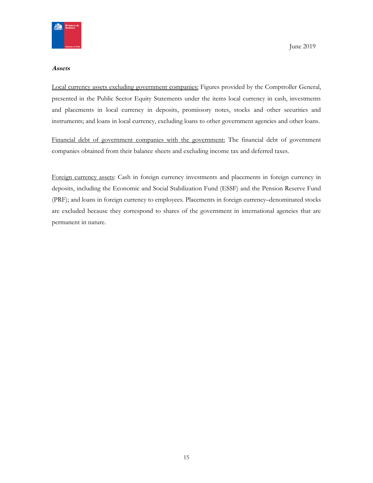

#### **Assets**

Local currency assets excluding government companies: Figures provided by the Comptroller General, presented in the Public Sector Equity Statements under the items local currency in cash, investments and placements in local currency in deposits, promissory notes, stocks and other securities and instruments; and loans in local currency, excluding loans to other government agencies and other loans.

Financial debt of government companies with the government: The financial debt of government companies obtained from their balance sheets and excluding income tax and deferred taxes.

Foreign currency assets: Cash in foreign currency investments and placements in foreign currency in deposits, including the Economic and Social Stabilization Fund (ESSF) and the Pension Reserve Fund (PRF); and loans in foreign currency to employees. Placements in foreign currency–denominated stocks are excluded because they correspond to shares of the government in international agencies that are permanent in nature.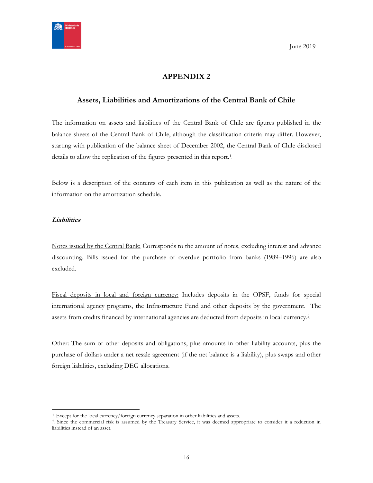

# **APPENDIX 2**

## <span id="page-15-1"></span><span id="page-15-0"></span>**Assets, Liabilities and Amortizations of the Central Bank of Chile**

The information on assets and liabilities of the Central Bank of Chile are figures published in the balance sheets of the Central Bank of Chile, although the classification criteria may differ. However, starting with publication of the balance sheet of December 2002, the Central Bank of Chile disclosed details to allow the replication of the figures presented in this report.<sup>1</sup>

Below is a description of the contents of each item in this publication as well as the nature of the information on the amortization schedule.

## **Liabilities**

 $\overline{a}$ 

Notes issued by the Central Bank: Corresponds to the amount of notes, excluding interest and advance discounting. Bills issued for the purchase of overdue portfolio from banks (1989–1996) are also excluded.

Fiscal deposits in local and foreign currency: Includes deposits in the OPSF, funds for special international agency programs, the Infrastructure Fund and other deposits by the government. The assets from credits financed by international agencies are deducted from deposits in local currency.<sup>2</sup>

Other: The sum of other deposits and obligations, plus amounts in other liability accounts, plus the purchase of dollars under a net resale agreement (if the net balance is a liability), plus swaps and other foreign liabilities, excluding DEG allocations.

<sup>&</sup>lt;sup>1</sup>. Except for the local currency/foreign currency separation in other liabilities and assets.

<sup>&</sup>lt;sup>2</sup> Since the commercial risk is assumed by the Treasury Service, it was deemed appropriate to consider it a reduction in liabilities instead of an asset.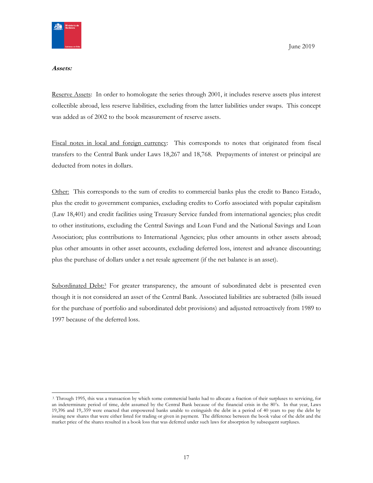

#### **Assets:**

Reserve Assets: In order to homologate the series through 2001, it includes reserve assets plus interest collectible abroad, less reserve liabilities, excluding from the latter liabilities under swaps. This concept was added as of 2002 to the book measurement of reserve assets.

Fiscal notes in local and foreign currency: This corresponds to notes that originated from fiscal transfers to the Central Bank under Laws 18,267 and 18,768. Prepayments of interest or principal are deducted from notes in dollars.

Other: This corresponds to the sum of credits to commercial banks plus the credit to Banco Estado, plus the credit to government companies, excluding credits to Corfo associated with popular capitalism (Law 18,401) and credit facilities using Treasury Service funded from international agencies; plus credit to other institutions, excluding the Central Savings and Loan Fund and the National Savings and Loan Association; plus contributions to International Agencies; plus other amounts in other assets abroad; plus other amounts in other asset accounts, excluding deferred loss, interest and advance discounting; plus the purchase of dollars under a net resale agreement (if the net balance is an asset).

Subordinated Debt:<sup>3</sup> For greater transparency, the amount of subordinated debt is presented even though it is not considered an asset of the Central Bank. Associated liabilities are subtracted (bills issued for the purchase of portfolio and subordinated debt provisions) and adjusted retroactively from 1989 to 1997 because of the deferred loss.

<sup>3</sup> Through 1995, this was a transaction by which some commercial banks had to allocate a fraction of their surpluses to servicing, for an indeterminate period of time, debt assumed by the Central Bank because of the financial crisis in the 80's. In that year, Laws 19,396 and 19,.359 were enacted that empowered banks unable to extinguish the debt in a period of 40 years to pay the debt by issuing new shares that were either listed for trading or given in payment. The difference between the book value of the debt and the market price of the shares resulted in a book loss that was deferred under such laws for absorption by subsequent surpluses.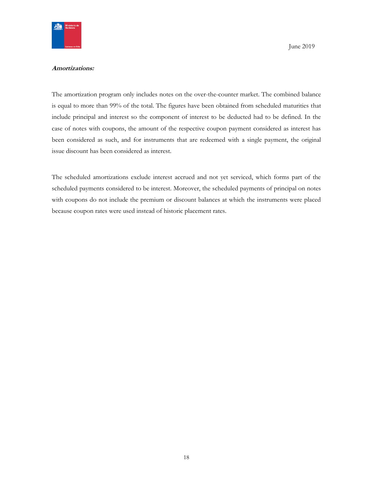

#### **Amortizations:**

The amortization program only includes notes on the over-the-counter market. The combined balance is equal to more than 99% of the total. The figures have been obtained from scheduled maturities that include principal and interest so the component of interest to be deducted had to be defined. In the case of notes with coupons, the amount of the respective coupon payment considered as interest has been considered as such, and for instruments that are redeemed with a single payment, the original issue discount has been considered as interest.

The scheduled amortizations exclude interest accrued and not yet serviced, which forms part of the scheduled payments considered to be interest. Moreover, the scheduled payments of principal on notes with coupons do not include the premium or discount balances at which the instruments were placed because coupon rates were used instead of historic placement rates.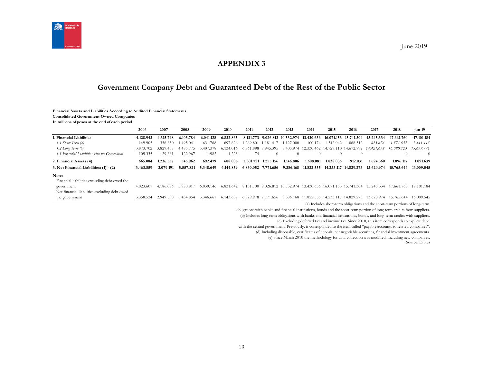

# **APPENDIX 3**

# **Government Company Debt and Guaranteed Debt of the Rest of the Public Sector**

#### **Financial Assets and Liabilities According to Audited Financial Statements**

**Consolidated Government-Owned Companies**

**In millions of pesos at the end of each period**

<span id="page-18-1"></span><span id="page-18-0"></span>

|                                               | 2006      | 2007      | 2008      | 2009         | 2010          | 2011                | 2012                | 2013                           | 2014       | 2015                                       | 2016       | 2017                                                                       | 2018       | $jun-19$   |
|-----------------------------------------------|-----------|-----------|-----------|--------------|---------------|---------------------|---------------------|--------------------------------|------------|--------------------------------------------|------------|----------------------------------------------------------------------------|------------|------------|
| 1. Financial Liabilities                      | 4.128.943 | 4.315.748 | 6.103.784 | 6.041.128    | 6.832.865     |                     |                     | 8.131.773 9.026.812 10.532.974 | 13.430.636 | 16.071.153                                 | 15.741.304 | 15.245.334                                                                 | 17.661.760 | 17.101.184 |
| 1.1 Short Term (a)                            | 149.905   | 356.650   | 1.495.041 | 631.768      | 697.626       |                     | 1.269.801 1.181.417 | .127.000                       | 1.100.174  | 1.342.042                                  | .068.512   | 823.676                                                                    | 1.571.637  | 1.441.413  |
| $1.2$ Long Term $(b)$                         | 3.873.702 | 3.829.437 | 4.485.    | i 407<br>378 | 6 1 3 4 0 1 6 | 6.861.898 7.845.395 |                     | 9.405.974                      |            | 12.330.462 14.729.110 14.672.792           |            | 14.421.658                                                                 | 16.090.123 | 15.659.771 |
| 1.3 Financial Liabilities with the Government | 105.335   | 29.661    | 122.967   | 1.982        | 1.223         | 74                  | $\Omega$            | $\theta$                       | $\Omega$   | $\left( \right)$                           | $\Omega$   |                                                                            |            | $\Omega$   |
| 2. Financial Assets (4)                       | 665.084   | 1.236.557 | 545.962   | 692.479      | 688.005       | 1.301.721           | 1.255.156           | 1.146.806                      | 1.608.081  | 1.838.036                                  | 912.031    | 1.624.360                                                                  | 1.896.117  | 1.091.639  |
| 3. Net Financial Liabilities: (1) - (2)       | 3.463.859 | 3.079.191 | 5.557.821 | 5.348.649    | 6.144.859     | 6.830.052 7.771.656 |                     | 9.386.168                      | 11.822.555 | 14.233.117                                 | 14.829.273 | 13.620.974                                                                 | 15.765.644 | 16.009.545 |
| Note:                                         |           |           |           |              |               |                     |                     |                                |            |                                            |            |                                                                            |            |            |
| Financial liabilities excluding debt owed the |           |           |           |              |               |                     |                     |                                |            |                                            |            |                                                                            |            |            |
| government                                    | 4.023.607 | 4.186.086 | 5.980.817 | 6.039.146    | 6.831.642     |                     |                     |                                |            |                                            |            | 8.131.700 9.026.812 10.532.974 13.430.636 16.071.153 15.741.304 15.245.334 | 17.661.760 | 17.101.184 |
| Net financial liabilities excluding debt owed |           |           |           |              |               |                     |                     |                                |            |                                            |            |                                                                            |            |            |
| the government                                | 3.358.524 | 2.949.530 | 5.434.854 | 5.346.667    | 6.143.637     | 6.829.978 7.771.656 |                     |                                |            | 9.386.168 11.822.555 14.233.117 14.829.273 |            | 13.620.974                                                                 | 15.765.644 | 16.009.545 |

(a) Includes short-term obligations and the short-term portions of long-term

obligations with banks and financial institutions, bonds and the short-term portion of long-term credits from suppliers.

(b) Includes long-term obligations with banks and financial institutions, bonds, and long-term credits with suppliers.

(c) Excluding deferred tax and income tax. Since 2010, this item corresponds to explicit debt

with the central government. Previously, it corresponded to the item called "payable accounts to related companies".

(d) Including disposable, certificates of deposit, net negotiable securities, financial investment agreements.

(e) Since March 2010 the methodology for data collection was modified, including new companies.

Source: Dipres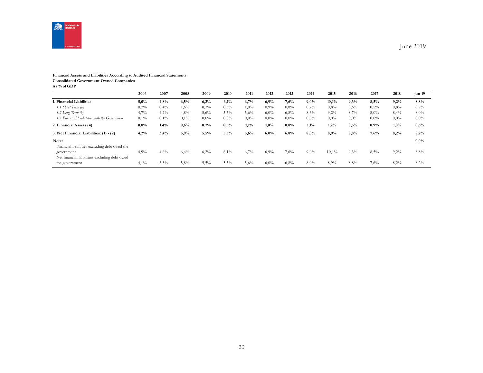

#### **Financial Assets and Liabilities According to Audited Financial Statements Consolidated Government-Owned Companies**

**As % of GDP**

|                                                             | 2006    | 2007 | 2008    | 2009    | 2010    | 2011    | 2012    | 2013    | 2014    | 2015    | 2016    | 2017    | 2018    | jun-19  |
|-------------------------------------------------------------|---------|------|---------|---------|---------|---------|---------|---------|---------|---------|---------|---------|---------|---------|
| 1. Financial Liabilities                                    | 5,0%    | 4,8% | 6,5%    | 6,2%    | 6,1%    | 6,7%    | 6,9%    | 7,6%    | 9,0%    | 10,1%   | 9,3%    | 8,5%    | 9,2%    | 8,8%    |
| 1.1 Short Term (a)                                          | 0,2%    | 0,4% | 1,6%    | 0,7%    | 0,6%    | $1,0\%$ | $0.9\%$ | $0.8\%$ | 0,7%    | $0.8\%$ | $0.6\%$ | 0,5%    | 0,8%    | 0,7%    |
| $1.2$ Long Term $(b)$                                       | 4,7%    | 4,2% | 4,8%    | 5,6%    | 5,5%    | 5,6%    | 6,0%    | 6,8%    | 8,3%    | 9,2%    | 8,7%    | 8,0%    | 8,4%    | $8,0\%$ |
| 1.3 Financial Liabilities with the Government               | $0,1\%$ | 0,1% | $0.1\%$ | $0,0\%$ | $0,0\%$ | $0.0\%$ | $0.0\%$ | $0.0\%$ | $0.0\%$ | $0.0\%$ | $0.0\%$ | $0.0\%$ | $0,0\%$ | $0,0\%$ |
| 2. Financial Assets (4)                                     | $0.8\%$ | 1.4% | 0,6%    | 0,7%    | 0,6%    | 1,1%    | 1,0%    | 0,8%    | 1,1%    | 1,2%    | 0,5%    | 0.9%    | $1,0\%$ | 0,6%    |
| 3. Net Financial Liabilities: (1) - (2)                     | 4,2%    | 3,4% | 5,9%    | 5,5%    | 5,5%    | 5,6%    | 6,0%    | 6,8%    | 8,0%    | 8,9%    | 8,8%    | 7,6%    | 8,2%    | 8,2%    |
| Note:<br>Financial liabilities excluding debt owed the      |         |      |         |         |         |         |         |         |         |         |         |         |         | 0,0%    |
| government<br>Net financial liabilities excluding debt owed | 4,9%    | 4,6% | 6,4%    | 6,2%    | 6,1%    | 6,7%    | 6,9%    | 7,6%    | $9,0\%$ | 10,1%   | 9,3%    | 8,5%    | 9,2%    | 8,8%    |
| the government                                              | 4,1%    | 3,3% | 5,8%    | 5,5%    | 5,5%    | 5,6%    | $6.0\%$ | 6,8%    | 8,0%    | 8,9%    | 8,8%    | 7,6%    | 8,2%    | 8,2%    |

June 2019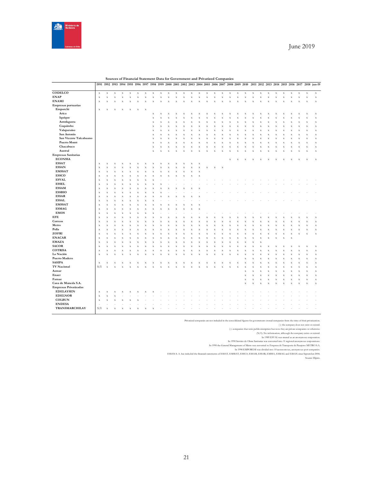

| Sources of Financial Statement Data for Government and Privatized Companies |
|-----------------------------------------------------------------------------|
|-----------------------------------------------------------------------------|

|                              | 1991               |                    | 1992 1993 1994            |                           | 1995                    | 1996               | 1997        | 1998                    | 1999        | <b>2000</b> |                           |                           |                         |                    | 2001 2002 2003 2004 2005 2006 2007 2008 2009 2010 |                    |                    |             |                           |             |                    |             |                    |                           |                         |                         |                    |             | 2011 2012 2013 2014 2015 2016 2017 2018 jun-19 |
|------------------------------|--------------------|--------------------|---------------------------|---------------------------|-------------------------|--------------------|-------------|-------------------------|-------------|-------------|---------------------------|---------------------------|-------------------------|--------------------|---------------------------------------------------|--------------------|--------------------|-------------|---------------------------|-------------|--------------------|-------------|--------------------|---------------------------|-------------------------|-------------------------|--------------------|-------------|------------------------------------------------|
| CODELCO                      | $\mathbf x$        | $\mathbf X$        | $\mathbf x$               | $\mathbf X$               | $\mathbf x$             | $\mathbf x$        | $\mathbf x$ | $\mathbf x$             | $\mathbf x$ | $\mathbf x$ | $\mathbf x$               | $\mathbf X$               | $\mathbf x$             | $\mathbf x$        | $\mathbf X$                                       | $\mathbf x$        | $\bar{x}$          | $\mathbf X$ | $\mathbf x$               | $\mathbf X$ | $\mathbf x$        | $\mathbf X$ | $\mathbf X$        | $\mathbf x$               | $\bar{\mathbf{x}}$      | $\mathbf x$             | $\mathbf x$        | $\mathbf X$ | $\mathbf x$                                    |
| <b>ENAP</b>                  | $\mathbf x$        | $\bar{x}$          | $\mathbf x$               | $\bar{\mathbf{x}}$        | $\bf x$                 | $\mathbf X$        | $\mathbf x$ | $\mathbf x$             | $\bf x$     | $\bar{X}$   | $\mathbf X$               | $\mathbf X$               | $\bar{X}$               | $\bar{\mathbf{x}}$ | $\mathbf x$                                       | $\mathbf X$        | $\bar{x}$          | $\bar{X}$   | $\bar{x}$                 | $\mathbf X$ | $\bar{x}$          | $\mathbf X$ | $\mathbf x$        | $\mathbf x$               | $\bar{x}$               | $\bar{X}$               | $\bar{x}$          | $\mathbf X$ | $\mathbf x$                                    |
| <b>ENAMI</b>                 | $\bar{\mathbf{x}}$ | X                  | $\mathbf X$               | $\boldsymbol{\mathrm{x}}$ | $\bf x$                 | $\bar{\mathbf{x}}$ | $\mathbf x$ | $\bf x$                 | X           | X           | $\mathbf X$               | $\bar{X}$                 | $\bf x$                 | $\bar{x}$          | $\bar{\mathbf{x}}$                                | $\mathbf X$        | X                  | $\bf x$     | $\bar{x}$                 | $\mathbf x$ | $\bar{\mathbf{x}}$ | $\mathbf x$ | $\mathbf x$        | $\mathbf x$               | $\bar{X}$               | $\bf x$                 | X                  | $\mathbf x$ | $\mathbf x$                                    |
| Empresas portuarias          |                    |                    |                           |                           |                         |                    |             |                         |             |             |                           |                           |                         |                    |                                                   |                    |                    |             |                           |             |                    |             |                    |                           |                         |                         |                    |             |                                                |
| Emporchi                     | $\mathbf X$        | x                  | $\overline{\mathbf{x}}$   | $\boldsymbol{\mathrm{x}}$ | $\bf x$                 | $\mathbf x$        | $\mathbf x$ |                         |             |             |                           |                           |                         |                    |                                                   |                    |                    |             |                           |             |                    |             |                    |                           |                         |                         |                    |             |                                                |
| Arica                        |                    |                    |                           |                           |                         |                    |             | $\bar{X}$               |             | x           | X                         | X                         | X                       | X                  | $\mathbf x$                                       | $\bf x$            | X                  | X           | X                         | X           |                    |             | X                  | $\bf x$                   | X                       |                         | X                  | $\bf x$     | $\mathbf X$                                    |
| Iquique                      |                    |                    |                           |                           |                         |                    |             | $\mathbf x$             | X           | x           | X                         | $\bar{x}$                 | X                       | x                  | $\bar{\mathbf{x}}$                                | $\mathbf X$        | $\bar{x}$          | x           | x                         | X           | $\bar{\mathbf{x}}$ | x           | $\bar{x}$          | $\bar{x}$                 | $\bar{x}$               |                         | X                  | $\mathbf X$ | $\mathbf x$                                    |
| Antofagasta                  |                    |                    |                           |                           |                         |                    |             | $\bf x$                 | X           | X           | X                         | X                         | X                       | x                  | $\bar{\mathbf{x}}$                                | $\mathbf X$        | Χ                  | $\bf x$     | X                         | X           | X                  | $\bf x$     | X                  | $\mathbf X$               | Χ                       | $\overline{\mathbf{x}}$ | Χ                  | $\mathbf x$ | $\mathbf x$                                    |
| Coquimbo                     |                    |                    |                           |                           |                         |                    |             | $\bar{\mathbf{x}}$      |             | x           | $\bar{\mathbf{x}}$        | $\bar{x}$                 | X                       | x                  | $\bar{\mathbf{x}}$                                | $\bar{\mathbf{x}}$ | X                  | $\bar{x}$   | $\bar{\mathbf{x}}$        | $\bar{x}$   | $\bar{\mathbf{x}}$ | $\bar{x}$   | $\bar{x}$          | $\bar{\mathbf{x}}$        | $\bar{\mathbf{x}}$      |                         | $\bar{\mathbf{x}}$ | $\mathbf X$ | $\mathbf X$                                    |
| Valaparaíso                  |                    |                    |                           |                           |                         |                    |             | $\bf x$                 | X           | X           | $\boldsymbol{\mathrm{x}}$ | $\boldsymbol{\mathrm{x}}$ | X                       | x                  | $\mathbf x$                                       | $\mathbf X$        | X                  | $\bf x$     | $\boldsymbol{\mathrm{x}}$ | X           | X                  | X           | $\bar{\mathbf{x}}$ | $\mathbf x$               | X                       | $\overline{\mathbf{x}}$ | X                  | $\mathbf x$ | $\mathbf x$                                    |
| San Antonio                  |                    |                    |                           |                           |                         |                    |             | $\bar{X}$               |             | x           | X                         |                           |                         | X                  | $\bar{x}$                                         | $\mathbf X$        | $\bar{x}$          | X           | X                         |             | ÿ                  |             | $\bar{x}$          | $\bar{\mathbf{x}}$        | $\bar{x}$               |                         | $\bar{x}$          | $\bf x$     | $\bar{x}$                                      |
| San Vicente Talcahuano       |                    |                    |                           |                           |                         |                    |             | $\bf x$                 |             | x           | X                         | $\bf x$                   | $\overline{\mathbf{x}}$ | X                  | $\bar{x}$                                         | $\bar{\mathbf{x}}$ | x                  |             | X                         | x           | X                  | x           | $\bar{x}$          | $\bar{\mathbf{x}}$        | X                       |                         | X                  | $\mathbf x$ | $\bf x$                                        |
| <b>Puerto Montt</b>          |                    |                    |                           |                           |                         |                    |             | $\bar{X}$               |             | x           | $\bar{x}$                 | $\bar{x}$                 | X                       | x                  | $\bf{X}$                                          | $\mathbf X$        | X                  | X           | $\bar{\mathbf{x}}$        | X           | X                  | $\bar{x}$   | X                  | $\mathbf X$               | $\bar{x}$               |                         | $\bar{x}$          | $\mathbf x$ | $\mathbf x$                                    |
| Chacabuco                    |                    |                    |                           |                           |                         |                    |             | $\bf x$                 | X           | X           | $\bf x$                   | $\bf x$                   | X                       | X                  | $\bar{x}$                                         | $\mathbf X$        | $\bar{x}$          | $\bf x$     | $\bar{x}$                 | $\bar{X}$   | $\bar{\mathbf{x}}$ | $\bf x$     | $\bar{x}$          | $\mathbf x$               | $\bar{x}$               | X                       | X                  | $\mathbf X$ | $\mathbf x$                                    |
| Austral                      |                    |                    |                           |                           |                         |                    |             | $\bf x$                 | X           | x           | x                         | $\bar{x}$                 |                         | X                  | $\bf x$                                           | $\bf x$            | $\bar{x}$          | X           | X                         | X           | ÿ                  |             | $\bar{\mathbf{x}}$ | $\bf x$                   | $\overline{\mathbf{y}}$ |                         | X                  | $\mathbf x$ | $\mathbf X$                                    |
| <b>Empresas Sanitarias</b>   |                    |                    |                           |                           |                         |                    |             |                         |             |             |                           |                           |                         |                    |                                                   |                    |                    |             |                           |             |                    |             |                    |                           |                         |                         |                    |             |                                                |
| <b>ECONSSA</b>               |                    |                    |                           |                           |                         |                    |             |                         |             |             |                           |                           |                         |                    |                                                   |                    |                    | $\bf x$     | $\bar{x}$                 | X           | X                  | $\bf x$     | X                  | $\boldsymbol{\mathrm{x}}$ | X                       | x                       | X                  | $\mathbf x$ | $\mathbf x$                                    |
| <b>ESSAT</b>                 | $\mathbf x$        | X                  |                           |                           |                         |                    | x           |                         |             |             |                           | x                         | X                       | X                  |                                                   |                    |                    |             |                           |             |                    |             |                    |                           |                         |                         |                    |             |                                                |
| <b>ESSAN</b>                 | $\mathbf x$        | $\bar{x}$          | $\bf x$                   | $\bar{X}$                 | $\bf x$                 | $\bar{x}$          | $\mathbf X$ | $\bf x$                 | X           | X           | $\bar{X}$                 | $\bar{X}$                 | $\mathbf x$             | $\bar{\mathbf{x}}$ | $\mathbf x$                                       | $\mathbf x$        | $\mathbf x$        |             |                           |             |                    |             |                    |                           |                         |                         |                    |             |                                                |
| <b>EMSSAT</b>                | $\mathbf x$        | X                  | $\boldsymbol{\mathrm{x}}$ | X                         | $\bf x$                 | x                  | $\mathbf X$ | $\bf x$                 | X           | X           | $\mathbf x$               | $\bf{X}$                  | $\mathbf x$             | $\bar{\mathbf{x}}$ |                                                   |                    |                    |             |                           |             |                    |             |                    |                           |                         |                         |                    |             |                                                |
| <b>ESSCO</b>                 | $\mathbf x$        | $\bar{x}$          | X                         | X                         | X                       | x                  | $\bar{x}$   | $\bar{X}$               | X           | x           | $\bar{x}$                 | $\bar{X}$                 | $\bar{X}$               | X                  |                                                   |                    |                    |             |                           |             |                    |             |                    |                           |                         |                         |                    |             |                                                |
| <b>ESVAL</b>                 | $\bar{\mathbf{x}}$ | $\bar{\mathbf{x}}$ | $\overline{\mathbf{x}}$   | X                         |                         | x                  | $\bf x$     | $\bar{\mathbf{x}}$      |             |             |                           |                           |                         |                    |                                                   |                    |                    |             |                           |             |                    |             |                    |                           |                         |                         |                    |             |                                                |
| <b>ESSEL</b>                 | $\bar{x}$          | $\bar{x}$          | X                         | X                         |                         | x                  | $\bar{x}$   | $\bf{X}$                |             |             |                           |                           |                         |                    |                                                   |                    |                    |             |                           |             |                    |             |                    |                           |                         |                         |                    |             |                                                |
| <b>ESSAM</b>                 | $\mathbf X$        | $\bar{x}$          | X                         | X                         | $\bf x$                 | $\bar{x}$          | $\mathbf x$ | $\bf x$                 | x           | x           | X                         | X                         | X                       | X                  |                                                   |                    |                    |             |                           |             |                    |             |                    |                           |                         |                         |                    |             |                                                |
| <b>ESSBIO</b>                | $\bar{\mathbf{x}}$ | $\bar{\mathbf{x}}$ | $\bar{x}$                 | X                         |                         | x                  | $\bf x$     | $\overline{\mathbf{x}}$ |             |             |                           |                           |                         |                    |                                                   |                    |                    |             |                           |             |                    |             |                    |                           |                         |                         |                    |             |                                                |
| <b>ESSAR</b>                 | $\bar{x}$          | $\bar{x}$          | $\overline{\mathbf{x}}$   | x                         | X                       | $\bar{x}$          | $\bar{x}$   | X                       |             |             |                           |                           |                         |                    |                                                   |                    |                    |             |                           |             |                    |             |                    |                           |                         |                         |                    |             |                                                |
| <b>ESSAL</b>                 | $\bar{\mathbf{x}}$ | $\bar{x}$          | $\overline{\mathbf{x}}$   | $\bar{x}$                 | $\bf x$                 | x                  | $\mathbf X$ | $\bf x$                 |             |             |                           |                           |                         |                    |                                                   |                    |                    |             |                           |             |                    |             |                    |                           |                         |                         |                    |             |                                                |
| <b>EMSSAT</b>                | $\bar{x}$          | $\bar{x}$          | X                         | X                         | X                       | $\bar{x}$          | $\mathbf x$ | $\bf x$                 | X           | X           | X                         | $\bf x$                   | $\bf x$                 | X                  |                                                   |                    |                    |             |                           |             |                    |             |                    |                           |                         |                         |                    |             |                                                |
| <b>ESMAG</b>                 | $\mathbf x$        | $\bar{x}$          | $\overline{\mathbf{x}}$   | X                         | $\bf x$                 | $\bar{x}$          | $\bar{x}$   | $\bar{X}$               |             |             | x                         | $\bar{x}$                 | $\bar{X}$               | $\bar{\mathbf{x}}$ |                                                   |                    |                    |             |                           |             |                    |             |                    |                           |                         |                         |                    |             |                                                |
| <b>EMOS</b>                  | $\bar{\mathbf{x}}$ | $\bar{\mathbf{x}}$ | X                         | X                         |                         | x                  | $\bar{x}$   | X                       |             |             |                           |                           |                         |                    |                                                   |                    |                    |             |                           |             |                    |             |                    |                           |                         |                         |                    |             |                                                |
| <b>EFE</b>                   | $\bar{\mathbf{x}}$ | $\bar{x}$          | $\mathbf x$               | X                         | X                       | $\bar{x}$          | $\mathbf x$ | $\bf x$                 | X           | x           | x                         | $\bf x$                   | X                       | X                  | $\bar{X}$                                         | $\bf x$            | X                  | X           | $\bar{x}$                 | $\bf x$     | X                  | $\bf x$     | $\bar{x}$          | $\bar{X}$                 | $\bar{x}$               |                         | X                  | $\mathbf x$ | $\mathbf x$                                    |
| Correos                      | $\mathbf x$        | $\bar{\mathbf{x}}$ | $\bar{X}$                 | X                         |                         | x                  | $\bf x$     | $\overline{\mathbf{x}}$ |             |             |                           | X                         | X                       | X                  | $\bar{\mathbf{x}}$                                | $\bar{\mathbf{x}}$ | X                  |             | x                         | $\bar{x}$   | X                  | X           | $\bar{x}$          | $\bf x$                   | $\bar{x}$               |                         | X                  | $\mathbf X$ | $\mathbf X$                                    |
| Metro                        | $\bf x$            | X                  | $\overline{\mathbf{x}}$   | x                         | $\overline{\mathbf{x}}$ | X                  | $\bar{x}$   | X                       | X           | x           | x                         | X                         | X                       | X                  | $\bar{x}$                                         | $\mathbf x$        | X                  | $\bf x$     | $\bar{X}$                 | $\bf x$     | X                  | $\bf x$     | $\bar{x}$          | $\mathbf x$               | X                       | $\overline{\mathbf{x}}$ | X                  | $\bf x$     | $\mathbf x$                                    |
| Polla                        | $\bar{x}$          | $\bar{x}$          | $\bar{x}$                 | x                         | X                       | x                  | $\mathbf x$ | $\bar{X}$               |             | x           | $\bar{x}$                 | $\bar{x}$                 | X                       | x                  | $\bar{x}$                                         | $\mathbf X$        | $\bar{x}$          | x           | $\bar{x}$                 | $\bar{x}$   | $\bar{\mathbf{x}}$ | $\bar{x}$   | $\bar{x}$          | $\bar{X}$                 | $\bar{x}$               | X                       | $\bar{x}$          | $\mathbf x$ | $\mathbf x$                                    |
| ZOFRI                        | $\mathbf x$        | $\bar{x}$          | $\bar{x}$                 | $\bar{x}$                 | $\bf x$                 | $\bar{x}$          | $\mathbf x$ | $\bf x$                 | x           | x           | $\bar{x}$                 | $\bar{X}$                 | $\bar{X}$               | $\bar{x}$          | $\bar{\mathbf{x}}$                                | $\mathbf x$        | $\bar{x}$          | X           | $\bar{x}$                 | $\bar{X}$   | $\bar{\mathbf{x}}$ | $\bar{X}$   | $\bar{x}$          | $\mathbf x$               | $\bar{x}$               | $\bf x$                 | $\bar{x}$          | $\mathbf x$ | $\mathbf X$                                    |
| <b>ENACAR</b>                | $\mathbf x$        | $\bar{x}$          | X                         | X                         | $\bf x$                 | $\bar{x}$          | $\mathbf x$ | $\bf x$                 | X           | x           | X                         | X                         | X                       | $\bar{x}$          | $\bar{\mathbf{x}}$                                | $\mathbf X$        | X                  | $\bf x$     | X                         | X           | X                  | $\bf x$     | $\bar{x}$          | $\bar{\mathbf{x}}$        | $\bar{x}$               | $\overline{\mathbf{x}}$ |                    |             |                                                |
| <b>EMAZA</b>                 | $\bar{\mathbf{x}}$ | $\bar{\mathbf{x}}$ | $\bar{x}$                 | X                         | $\bar{X}$               | x                  | $\bf x$     | $\bar{X}$               |             | x           | $\bar{x}$                 | $\bar{x}$                 | $\bar{x}$               | x                  | $\bf{X}$                                          | $\bar{X}$          | X                  | $\bar{x}$   | $\bar{\mathbf{x}}$        | $\bar{x}$   | $\bar{\mathbf{x}}$ | $\bar{X}$   |                    |                           |                         |                         |                    |             |                                                |
| <b>SACOR</b>                 | $\mathbf x$        | $\bar{x}$          | X                         | X                         | x                       | $\bar{x}$          | $\mathbf x$ | $\bf x$                 | x           | x           | X                         | $\bf x$                   | X                       | $\bar{x}$          | $\mathbf x$                                       | $\mathbf X$        | X                  | x           | $\bar{x}$                 | $\bar{X}$   | $\bar{\mathbf{x}}$ | $\mathbf x$ | $\bar{x}$          | $\mathbf x$               | X                       |                         | x                  | $\bf x$     | $\mathbf X$                                    |
| <b>COTRISA</b>               | $\bar{\mathbf{x}}$ | $\bar{\mathbf{x}}$ | $\bar{\mathbf{x}}$        | X                         | X                       | $\bar{\mathbf{x}}$ | $\mathbf X$ | $\bf x$                 |             | X           | $\bar{\mathbf{x}}$        | X                         | X                       | x                  | $\bar{\mathbf{x}}$                                | $\mathbf X$        | $\bar{\mathbf{x}}$ |             | X                         | X           | X                  |             | $\bar{\mathbf{x}}$ | $\bar{\mathbf{x}}$        | $\bar{\mathbf{x}}$      |                         | $\bar{\mathbf{x}}$ | $\mathbf X$ | $\mathbf x$                                    |
| La Nación                    | $\mathbf x$        | $\bar{x}$          | X                         | X                         | $\bf x$                 | $\bar{x}$          | $\mathbf x$ | $\bf x$                 | X           | x           | X                         | X                         | $\overline{\mathbf{x}}$ | X                  | $\bar{x}$                                         | $\bar{X}$          | $\bar{x}$          | X           | $\bar{x}$                 | $\bf x$     | $\bar{\mathbf{x}}$ | $\bf x$     | $\bar{x}$          | $\bar{X}$                 | $\bar{x}$               |                         | X                  | $\mathbf x$ | $\mathbf x$                                    |
| Puerto Madero                |                    |                    |                           |                           |                         |                    |             |                         |             |             |                           |                           |                         |                    |                                                   |                    |                    |             |                           | $\bar{x}$   | $\bar{\mathbf{x}}$ | $\bar{x}$   | $\mathbf x$        | $\mathbf x$               | $\bar{x}$               |                         | $\bar{x}$          | $\mathbf x$ | $\mathbf x$                                    |
| <b>SASIPA</b>                | $\mathbf x$        | $\bar{X}$          | x                         | X                         | X                       | x                  | $\mathbf X$ | $\bf x$                 | X           | X           | х                         | X                         | X                       | X                  | $\bf{X}$                                          | $\mathbf x$        | $\bar{x}$          | $\bf x$     | $\bar{\mathbf{x}}$        | $\bar{X}$   | $\bar{\mathbf{x}}$ | $\bar{X}$   | $\bar{x}$          | $\mathbf X$               | $\bar{x}$               | x                       | $\bar{x}$          | $\mathbf X$ | $\mathbf x$                                    |
| <b>TV Nacional</b>           | S/I                | $\bar{X}$          | $\overline{\mathbf{v}}$   | x                         |                         | x                  | x           |                         |             |             |                           |                           |                         |                    | x                                                 | $\bar{X}$          | X                  | $\bf x$     | $\bar{x}$                 | $\bf x$     | X                  | $\bf x$     | X                  | $\bf x$                   | X                       |                         | X                  | $\mathbf x$ | $\mathbf x$                                    |
| Asmar                        |                    |                    |                           |                           |                         |                    |             |                         |             |             |                           |                           |                         |                    |                                                   |                    |                    |             |                           | $\bar{x}$   | $\bar{\mathbf{x}}$ | $\mathbf X$ | X                  | $\mathbf x$               | $\bar{x}$               | $\bf x$                 | $\bar{x}$          | $\mathbf X$ | $\mathbf X$                                    |
| Enaer                        |                    |                    |                           |                           |                         |                    |             |                         |             |             |                           |                           |                         |                    |                                                   |                    |                    |             |                           | $\mathbf x$ | $\bar{\mathbf{x}}$ | X           | $\bar{\mathbf{x}}$ | $\mathbf x$               | X                       | $\overline{\mathbf{x}}$ | X                  | $\mathbf x$ | $\mathbf x$                                    |
| Famae                        |                    |                    |                           |                           |                         |                    |             |                         |             |             |                           |                           |                         |                    |                                                   |                    |                    |             |                           | $\bar{X}$   | $\bar{\mathbf{x}}$ | $\mathbf x$ | $\bar{x}$          | $\bar{X}$                 | $\bar{x}$               |                         | $\bar{x}$          | $\mathbf x$ | $\mathbf x$                                    |
| Casa de Moneda S.A.          |                    |                    |                           |                           |                         |                    |             |                         |             |             |                           |                           |                         |                    |                                                   |                    |                    |             |                           | $\mathbf x$ | $\bar{\mathbf{x}}$ | $\bar{X}$   | X                  | $\mathbf x$               | $\bar{x}$               | $\overline{\mathbf{x}}$ | $\bar{x}$          | $\mathbf x$ | $\mathbf x$                                    |
| <b>Empresas Privatizadas</b> |                    |                    |                           |                           |                         |                    |             |                         |             |             |                           |                           |                         |                    |                                                   |                    |                    |             |                           |             |                    |             |                    |                           |                         |                         |                    |             |                                                |
| <b>EDELAYSEN</b>             | $\bar{\mathbf{x}}$ | $\bar{x}$          | $\boldsymbol{\mathrm{x}}$ | x                         | X                       | x                  | x           |                         |             |             |                           |                           |                         |                    |                                                   |                    |                    |             |                           |             |                    |             |                    |                           |                         |                         |                    |             |                                                |
| <b>EDELNOR</b>               | $\bar{\mathbf{x}}$ | $\bar{X}$          | X                         |                           |                         |                    |             |                         |             |             |                           |                           |                         |                    |                                                   |                    |                    |             |                           |             |                    |             |                    |                           |                         |                         |                    |             |                                                |
| <b>COLBUN</b>                | $\bar{x}$          | $\bar{x}$          | $\bar{x}$                 | x                         |                         |                    |             |                         |             |             |                           |                           |                         |                    |                                                   |                    |                    |             |                           |             |                    |             |                    |                           |                         |                         |                    |             |                                                |
| <b>ENDESA</b>                |                    |                    |                           |                           |                         |                    |             |                         |             |             |                           |                           |                         |                    |                                                   |                    |                    |             |                           |             |                    |             |                    |                           |                         |                         |                    |             |                                                |
| TRANSMARCHILAY               | S/I                | $\bar{x}$          |                           |                           |                         | X                  |             |                         |             |             |                           |                           |                         |                    |                                                   |                    |                    |             |                           |             |                    |             |                    |                           |                         |                         |                    |             |                                                |
|                              |                    |                    |                           |                           |                         |                    |             |                         |             |             |                           |                           |                         |                    |                                                   |                    |                    |             |                           |             |                    |             |                    |                           |                         |                         |                    |             |                                                |

Privatized companies are not induded in the consolidated figures for government-owned companies from the time of their privatization.<br>
(): companies that were public enterprises but now they are private companies on exist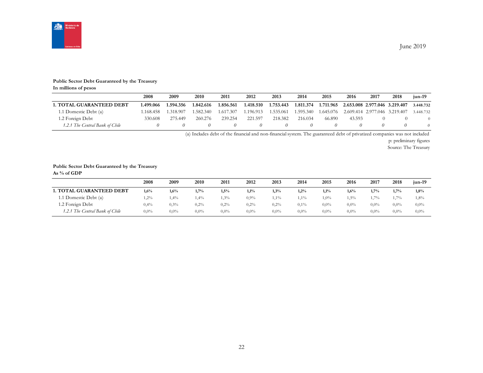

#### **Public Sector Debt Guaranteed by the Treasury**

**In millions of pesos**

|                                 | 2008      | 2009      | 2010      | 2011      | 2012      | 2013      | 2014      | 2015      | 2016                                    | 2017 | 2018     | jun-19    |
|---------------------------------|-----------|-----------|-----------|-----------|-----------|-----------|-----------|-----------|-----------------------------------------|------|----------|-----------|
| <b>1. TOTAL GUARANTEED DEBT</b> | 1.499.066 | 1.594.356 | 1.842.616 | 1.856.561 | 1.418.510 | 1.753.443 | 1.811.374 | 1.711.965 | 2.653.008 2.977.046 3.219.407           |      |          | 3.448.732 |
| 1.1 Domestic Debt (a)           | 1.168.458 | 1.318.907 | 1.582.340 | 1.617.307 | .196.913  | 1.535.061 | 1.595.340 |           | 1.645.076 2.609.414 2.977.046 3.219.407 |      |          | 3.448.732 |
| 1.2 Foreign Debt                | 330.608   | 275.449   | 260.276   | 239.254   | 221.597   | 218.382   | 216.034   | 66.890    | 43.593                                  |      |          |           |
| 1.2.1 The Central Bank of Chile |           |           |           |           |           |           |           |           |                                         |      | $\theta$ | 0         |

(a) Includes debt of the financial and non-financial system. The guaranteed debt of privatized companies was not included

p: preliminary figures

Source: The Treasury

#### **Public Sector Debt Guaranteed by the Treasury**

**As % of GDP**

|                                 | 2008    | 2009    | 2010    | 2011    | 2012    | 2013    | 2014    | 2015    | 2016    | 2017    | 2018    | $jun-19$ |
|---------------------------------|---------|---------|---------|---------|---------|---------|---------|---------|---------|---------|---------|----------|
| <b>1. TOTAL GUARANTEED DEBT</b> | 1,6%    | 1,6%    | 1,7%    | 1,5%    | 1,1%    | 1,3%    | 1,2%    | 1,1%    | $1,6\%$ | 1.7%    | 1,7%    | 1,8%     |
| 1.1 Domestic Debt (a)           | $2\%$   | 1,4%    | 1.4%    | $3\%$   | $0.9\%$ | $1,1\%$ | $1,1\%$ | $1,0\%$ | 1,5%    | $1.7\%$ | 1,7%    | 1,8%     |
| 1.2 Foreign Debt                | 0,4%    | $0.3\%$ | 0,2%    | 0,2%    | $0.2\%$ | 0,2%    | $0.1\%$ | $0.0\%$ | $0.0\%$ | $0.0\%$ | $0.0\%$ | $0.0\%$  |
| 1.2.1 The Central Bank of Chile | $0.0\%$ | $0.0\%$ | $0.0\%$ | $0.0\%$ | $0.0\%$ | $0.0\%$ | $0.0\%$ | $0.0\%$ | $0.0\%$ | $0.0\%$ | $0.0\%$ | $0.0\%$  |

June 2019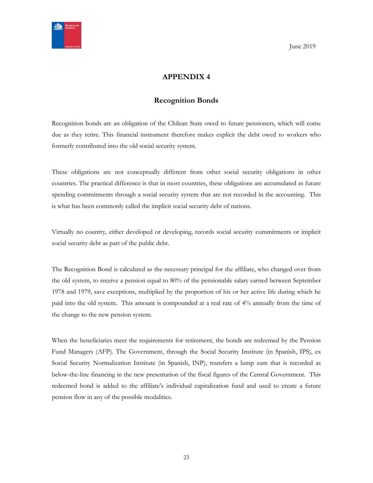<span id="page-22-0"></span>

# **APPENDIX 4**

# **Recognition Bonds**

<span id="page-22-1"></span>Recognition bonds are an obligation of the Chilean State owed to future pensioners, which will come due as they retire. This financial instrument therefore makes explicit the debt owed to workers who formerly contributed into the old social security system.

These obligations are not conceptually different from other social security obligations in other countries. The practical difference is that in most countries, these obligations are accumulated as future spending commitments through a social security system that are not recorded in the accounting. This is what has been commonly called the implicit social security debt of nations.

Virtually no country, either developed or developing, records social security commitments or implicit social security debt as part of the public debt.

The Recognition Bond is calculated as the necessary principal for the affiliate, who changed over from the old system, to receive a pension equal to 80% of the pensionable salary earned between September 1978 and 1979, save exceptions, multiplied by the proportion of his or her active life during which he paid into the old system. This amount is compounded at a real rate of 4% annually from the time of the change to the new pension system.

When the beneficiaries meet the requirements for retirement, the bonds are redeemed by the Pension Fund Managers (AFP). The Government, through the Social Security Institute (in Spanish, IPS), ex Social Security Normalization Institute (in Spanish, INP), transfers a lump sum that is recorded as below-the-line financing in the new presentation of the fiscal figures of the Central Government. This redeemed bond is added to the affiliate's individual capitalization fund and used to create a future pension flow in any of the possible modalities.